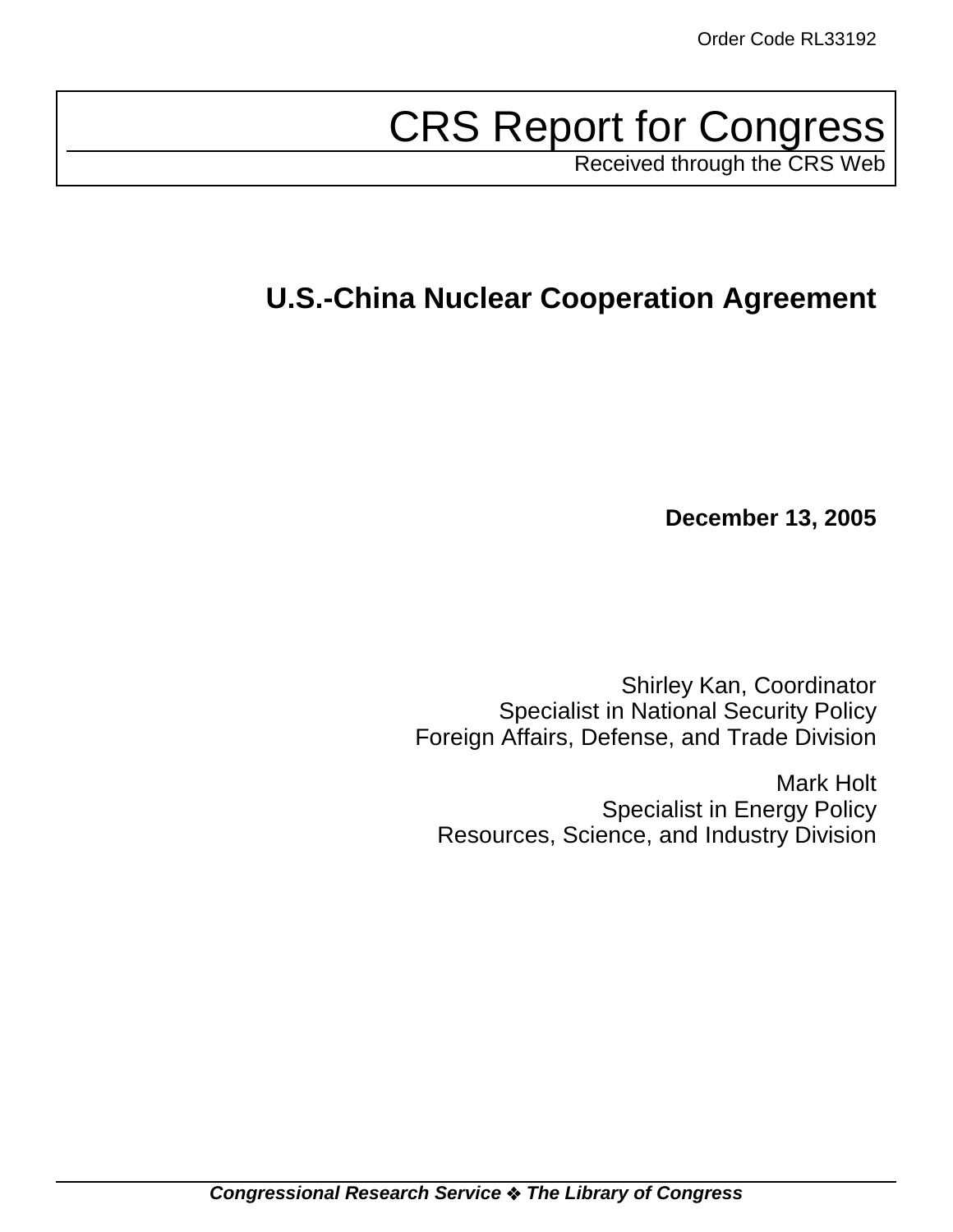# CRS Report for Congress

Received through the CRS Web

# **U.S.-China Nuclear Cooperation Agreement**

**December 13, 2005**

Shirley Kan, Coordinator Specialist in National Security Policy Foreign Affairs, Defense, and Trade Division

Mark Holt Specialist in Energy Policy Resources, Science, and Industry Division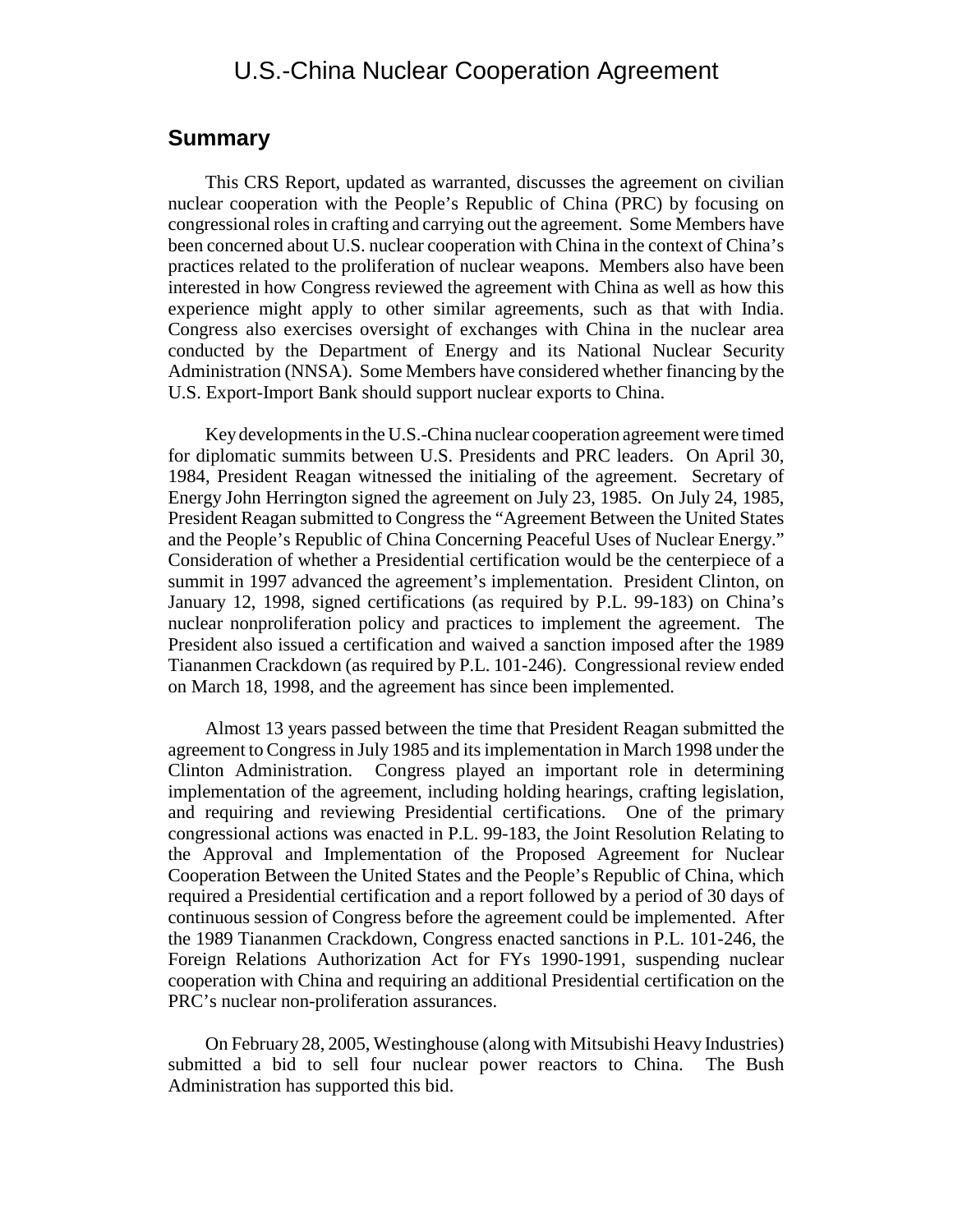# U.S.-China Nuclear Cooperation Agreement

#### **Summary**

This CRS Report, updated as warranted, discusses the agreement on civilian nuclear cooperation with the People's Republic of China (PRC) by focusing on congressional roles in crafting and carrying out the agreement. Some Members have been concerned about U.S. nuclear cooperation with China in the context of China's practices related to the proliferation of nuclear weapons. Members also have been interested in how Congress reviewed the agreement with China as well as how this experience might apply to other similar agreements, such as that with India. Congress also exercises oversight of exchanges with China in the nuclear area conducted by the Department of Energy and its National Nuclear Security Administration (NNSA). Some Members have considered whether financing by the U.S. Export-Import Bank should support nuclear exports to China.

Key developments in the U.S.-China nuclear cooperation agreement were timed for diplomatic summits between U.S. Presidents and PRC leaders. On April 30, 1984, President Reagan witnessed the initialing of the agreement. Secretary of Energy John Herrington signed the agreement on July 23, 1985. On July 24, 1985, President Reagan submitted to Congress the "Agreement Between the United States and the People's Republic of China Concerning Peaceful Uses of Nuclear Energy." Consideration of whether a Presidential certification would be the centerpiece of a summit in 1997 advanced the agreement's implementation. President Clinton, on January 12, 1998, signed certifications (as required by P.L. 99-183) on China's nuclear nonproliferation policy and practices to implement the agreement. The President also issued a certification and waived a sanction imposed after the 1989 Tiananmen Crackdown (as required by P.L. 101-246). Congressional review ended on March 18, 1998, and the agreement has since been implemented.

Almost 13 years passed between the time that President Reagan submitted the agreement to Congress in July 1985 and its implementation in March 1998 under the Clinton Administration. Congress played an important role in determining implementation of the agreement, including holding hearings, crafting legislation, and requiring and reviewing Presidential certifications. One of the primary congressional actions was enacted in P.L. 99-183, the Joint Resolution Relating to the Approval and Implementation of the Proposed Agreement for Nuclear Cooperation Between the United States and the People's Republic of China, which required a Presidential certification and a report followed by a period of 30 days of continuous session of Congress before the agreement could be implemented. After the 1989 Tiananmen Crackdown, Congress enacted sanctions in P.L. 101-246, the Foreign Relations Authorization Act for FYs 1990-1991, suspending nuclear cooperation with China and requiring an additional Presidential certification on the PRC's nuclear non-proliferation assurances.

On February 28, 2005, Westinghouse (along with Mitsubishi Heavy Industries) submitted a bid to sell four nuclear power reactors to China. The Bush Administration has supported this bid.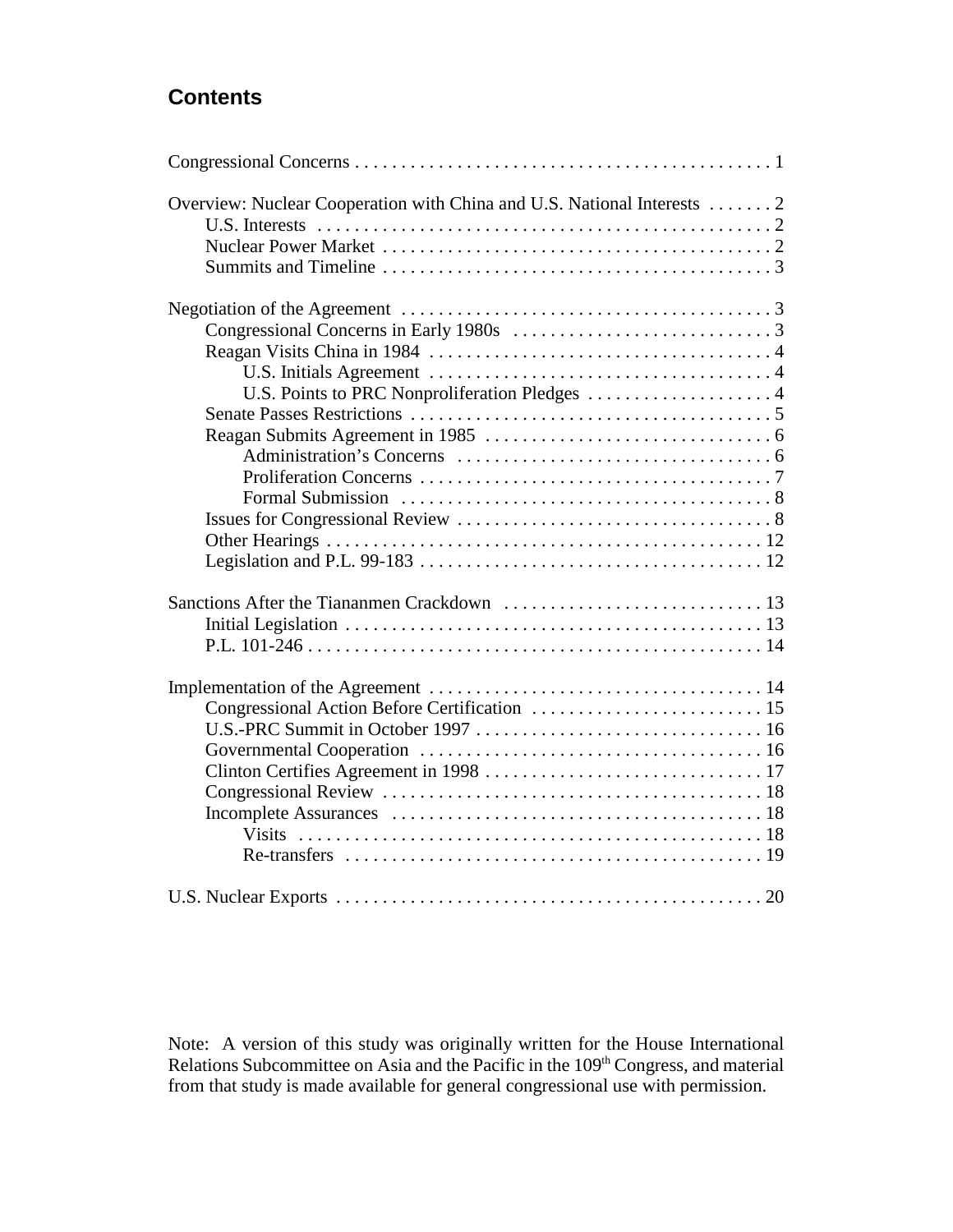# **Contents**

| Overview: Nuclear Cooperation with China and U.S. National Interests  2 |
|-------------------------------------------------------------------------|
|                                                                         |
|                                                                         |
|                                                                         |
|                                                                         |
|                                                                         |
|                                                                         |
|                                                                         |
|                                                                         |
| U.S. Points to PRC Nonproliferation Pledges  4                          |
|                                                                         |
|                                                                         |
|                                                                         |
|                                                                         |
|                                                                         |
|                                                                         |
|                                                                         |
|                                                                         |
|                                                                         |
|                                                                         |
|                                                                         |
|                                                                         |
|                                                                         |
|                                                                         |
|                                                                         |
|                                                                         |
|                                                                         |
|                                                                         |
|                                                                         |
|                                                                         |
|                                                                         |
|                                                                         |

Note: A version of this study was originally written for the House International Relations Subcommittee on Asia and the Pacific in the 109<sup>th</sup> Congress, and material from that study is made available for general congressional use with permission.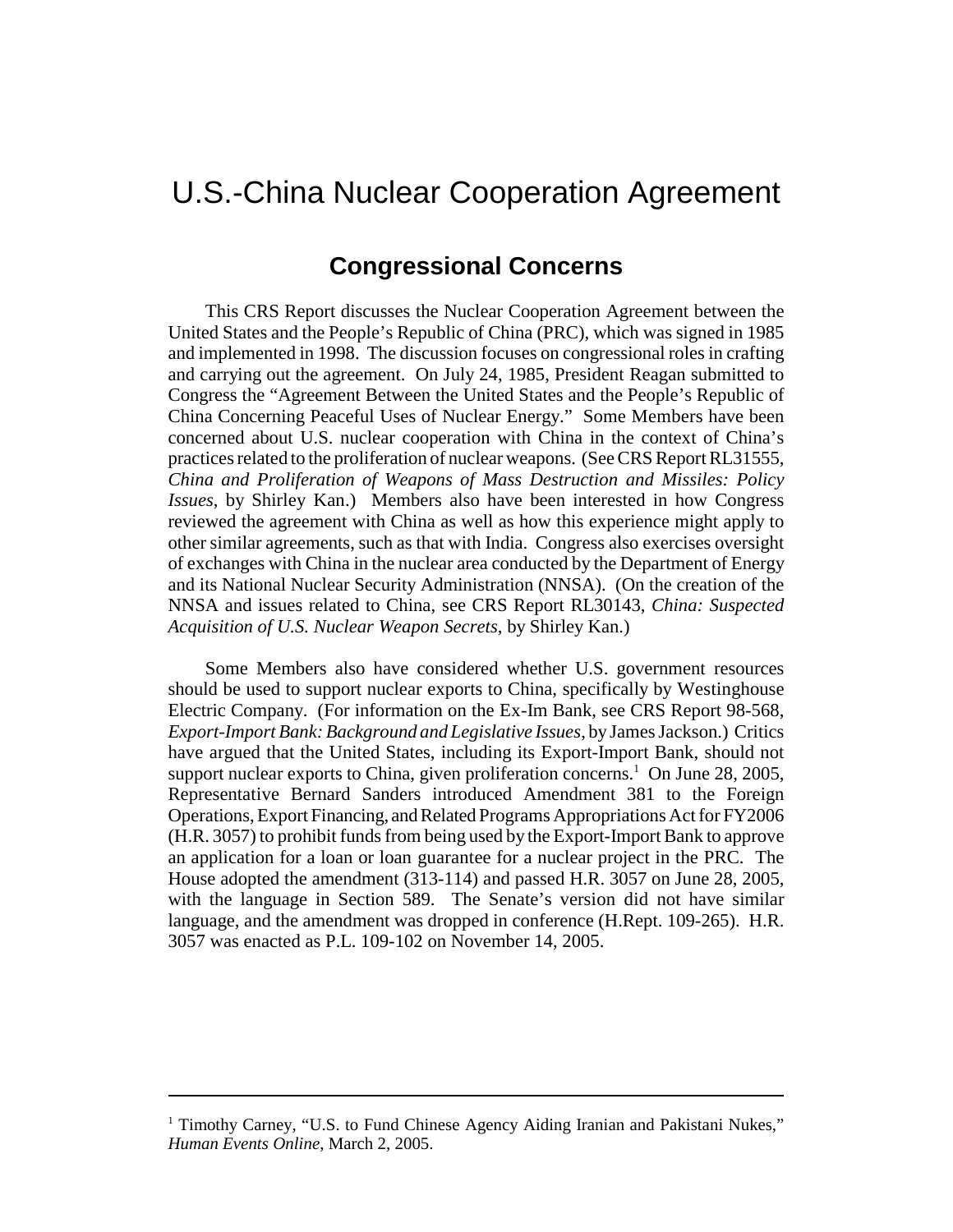# U.S.-China Nuclear Cooperation Agreement

# **Congressional Concerns**

This CRS Report discusses the Nuclear Cooperation Agreement between the United States and the People's Republic of China (PRC), which was signed in 1985 and implemented in 1998. The discussion focuses on congressional roles in crafting and carrying out the agreement. On July 24, 1985, President Reagan submitted to Congress the "Agreement Between the United States and the People's Republic of China Concerning Peaceful Uses of Nuclear Energy." Some Members have been concerned about U.S. nuclear cooperation with China in the context of China's practices related to the proliferation of nuclear weapons. (See CRS Report RL31555, *China and Proliferation of Weapons of Mass Destruction and Missiles: Policy Issues*, by Shirley Kan.) Members also have been interested in how Congress reviewed the agreement with China as well as how this experience might apply to other similar agreements, such as that with India. Congress also exercises oversight of exchanges with China in the nuclear area conducted by the Department of Energy and its National Nuclear Security Administration (NNSA). (On the creation of the NNSA and issues related to China, see CRS Report RL30143, *China: Suspected Acquisition of U.S. Nuclear Weapon Secrets*, by Shirley Kan.)

Some Members also have considered whether U.S. government resources should be used to support nuclear exports to China, specifically by Westinghouse Electric Company. (For information on the Ex-Im Bank, see CRS Report 98-568, *Export-Import Bank: Background and Legislative Issues*, by James Jackson.) Critics have argued that the United States, including its Export-Import Bank, should not support nuclear exports to China, given proliferation concerns.<sup>1</sup> On June 28, 2005, Representative Bernard Sanders introduced Amendment 381 to the Foreign Operations, Export Financing, and Related Programs Appropriations Act for FY2006 (H.R. 3057) to prohibit funds from being used by the Export-Import Bank to approve an application for a loan or loan guarantee for a nuclear project in the PRC. The House adopted the amendment (313-114) and passed H.R. 3057 on June 28, 2005, with the language in Section 589. The Senate's version did not have similar language, and the amendment was dropped in conference (H.Rept. 109-265). H.R. 3057 was enacted as P.L. 109-102 on November 14, 2005.

<sup>&</sup>lt;sup>1</sup> Timothy Carney, "U.S. to Fund Chinese Agency Aiding Iranian and Pakistani Nukes," *Human Events Online*, March 2, 2005.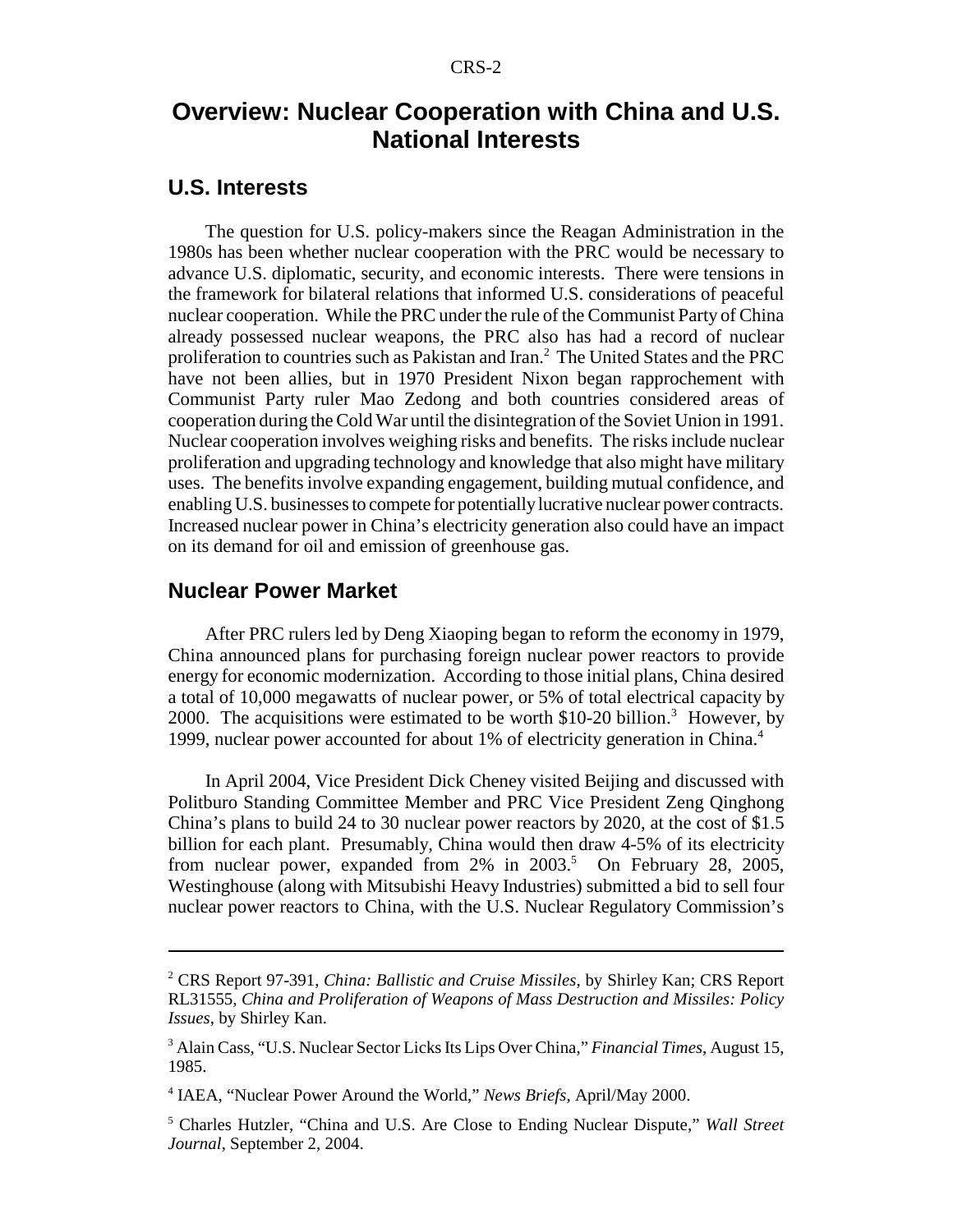# **Overview: Nuclear Cooperation with China and U.S. National Interests**

#### **U.S. Interests**

The question for U.S. policy-makers since the Reagan Administration in the 1980s has been whether nuclear cooperation with the PRC would be necessary to advance U.S. diplomatic, security, and economic interests. There were tensions in the framework for bilateral relations that informed U.S. considerations of peaceful nuclear cooperation. While the PRC under the rule of the Communist Party of China already possessed nuclear weapons, the PRC also has had a record of nuclear proliferation to countries such as Pakistan and Iran.<sup>2</sup> The United States and the PRC have not been allies, but in 1970 President Nixon began rapprochement with Communist Party ruler Mao Zedong and both countries considered areas of cooperation during the Cold War until the disintegration of the Soviet Union in 1991. Nuclear cooperation involves weighing risks and benefits. The risks include nuclear proliferation and upgrading technology and knowledge that also might have military uses. The benefits involve expanding engagement, building mutual confidence, and enabling U.S. businesses to compete for potentially lucrative nuclear power contracts. Increased nuclear power in China's electricity generation also could have an impact on its demand for oil and emission of greenhouse gas.

#### **Nuclear Power Market**

After PRC rulers led by Deng Xiaoping began to reform the economy in 1979, China announced plans for purchasing foreign nuclear power reactors to provide energy for economic modernization. According to those initial plans, China desired a total of 10,000 megawatts of nuclear power, or 5% of total electrical capacity by 2000. The acquisitions were estimated to be worth  $$10-20$  billion.<sup>3</sup> However, by 1999, nuclear power accounted for about 1% of electricity generation in China.4

In April 2004, Vice President Dick Cheney visited Beijing and discussed with Politburo Standing Committee Member and PRC Vice President Zeng Qinghong China's plans to build 24 to 30 nuclear power reactors by 2020, at the cost of \$1.5 billion for each plant. Presumably, China would then draw 4-5% of its electricity from nuclear power, expanded from 2% in 2003.<sup>5</sup> On February 28, 2005, Westinghouse (along with Mitsubishi Heavy Industries) submitted a bid to sell four nuclear power reactors to China, with the U.S. Nuclear Regulatory Commission's

<sup>2</sup> CRS Report 97-391, *China: Ballistic and Cruise Missiles*, by Shirley Kan; CRS Report RL31555, *China and Proliferation of Weapons of Mass Destruction and Missiles: Policy Issues*, by Shirley Kan.

<sup>3</sup> Alain Cass, "U.S. Nuclear Sector Licks Its Lips Over China," *Financial Times*, August 15, 1985.

<sup>4</sup> IAEA, "Nuclear Power Around the World," *News Briefs*, April/May 2000.

<sup>5</sup> Charles Hutzler, "China and U.S. Are Close to Ending Nuclear Dispute," *Wall Street Journal*, September 2, 2004.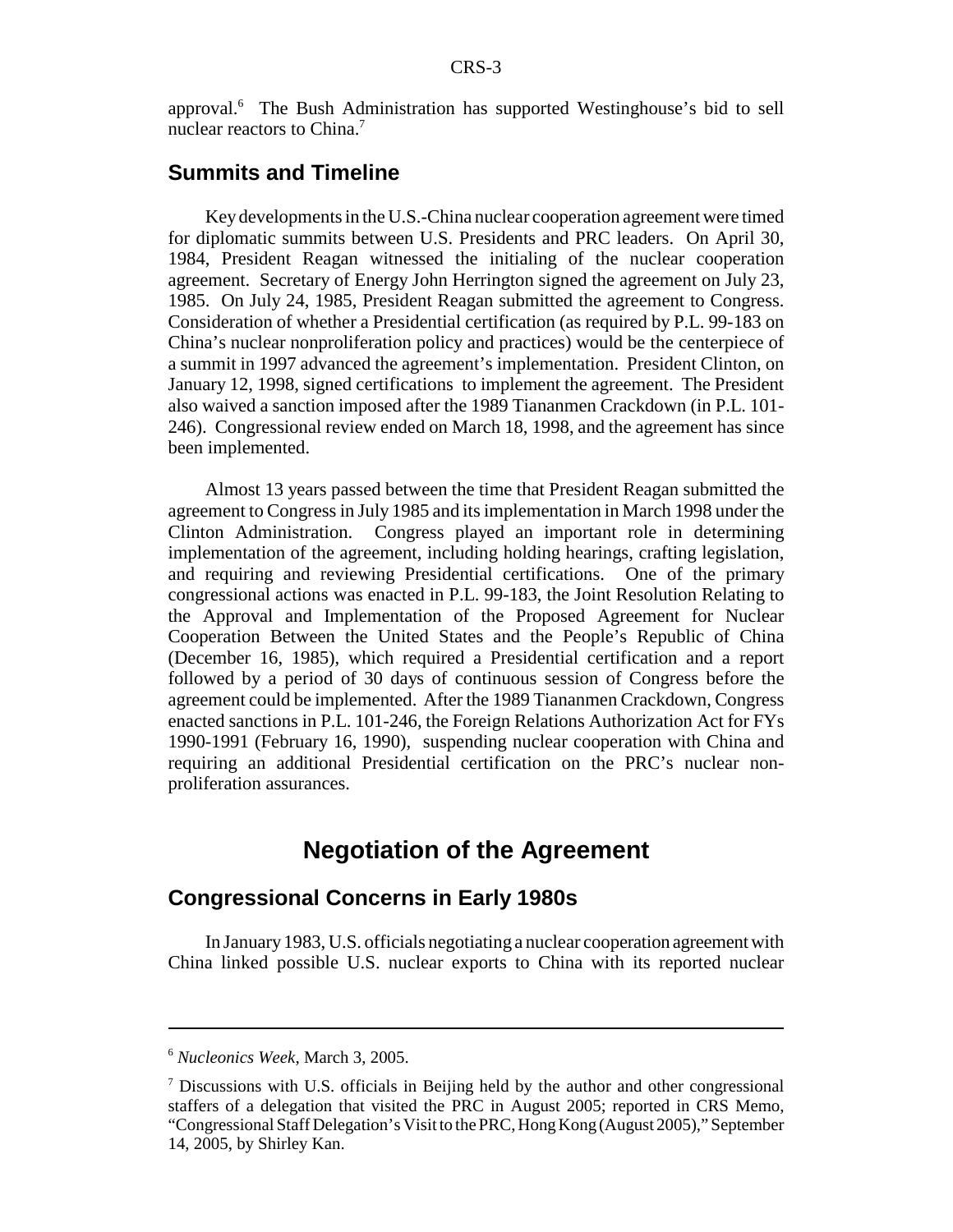approval.<sup>6</sup> The Bush Administration has supported Westinghouse's bid to sell nuclear reactors to China.<sup>7</sup>

# **Summits and Timeline**

Key developments in the U.S.-China nuclear cooperation agreement were timed for diplomatic summits between U.S. Presidents and PRC leaders. On April 30, 1984, President Reagan witnessed the initialing of the nuclear cooperation agreement. Secretary of Energy John Herrington signed the agreement on July 23, 1985. On July 24, 1985, President Reagan submitted the agreement to Congress. Consideration of whether a Presidential certification (as required by P.L. 99-183 on China's nuclear nonproliferation policy and practices) would be the centerpiece of a summit in 1997 advanced the agreement's implementation. President Clinton, on January 12, 1998, signed certifications to implement the agreement. The President also waived a sanction imposed after the 1989 Tiananmen Crackdown (in P.L. 101- 246). Congressional review ended on March 18, 1998, and the agreement has since been implemented.

Almost 13 years passed between the time that President Reagan submitted the agreement to Congress in July 1985 and its implementation in March 1998 under the Clinton Administration. Congress played an important role in determining implementation of the agreement, including holding hearings, crafting legislation, and requiring and reviewing Presidential certifications. One of the primary congressional actions was enacted in P.L. 99-183, the Joint Resolution Relating to the Approval and Implementation of the Proposed Agreement for Nuclear Cooperation Between the United States and the People's Republic of China (December 16, 1985), which required a Presidential certification and a report followed by a period of 30 days of continuous session of Congress before the agreement could be implemented. After the 1989 Tiananmen Crackdown, Congress enacted sanctions in P.L. 101-246, the Foreign Relations Authorization Act for FYs 1990-1991 (February 16, 1990), suspending nuclear cooperation with China and requiring an additional Presidential certification on the PRC's nuclear nonproliferation assurances.

# **Negotiation of the Agreement**

# **Congressional Concerns in Early 1980s**

In January 1983, U.S. officials negotiating a nuclear cooperation agreement with China linked possible U.S. nuclear exports to China with its reported nuclear

<sup>6</sup> *Nucleonics Week*, March 3, 2005.

<sup>&</sup>lt;sup>7</sup> Discussions with U.S. officials in Beijing held by the author and other congressional staffers of a delegation that visited the PRC in August 2005; reported in CRS Memo, "Congressional Staff Delegation's Visit to the PRC, Hong Kong (August 2005)," September 14, 2005, by Shirley Kan.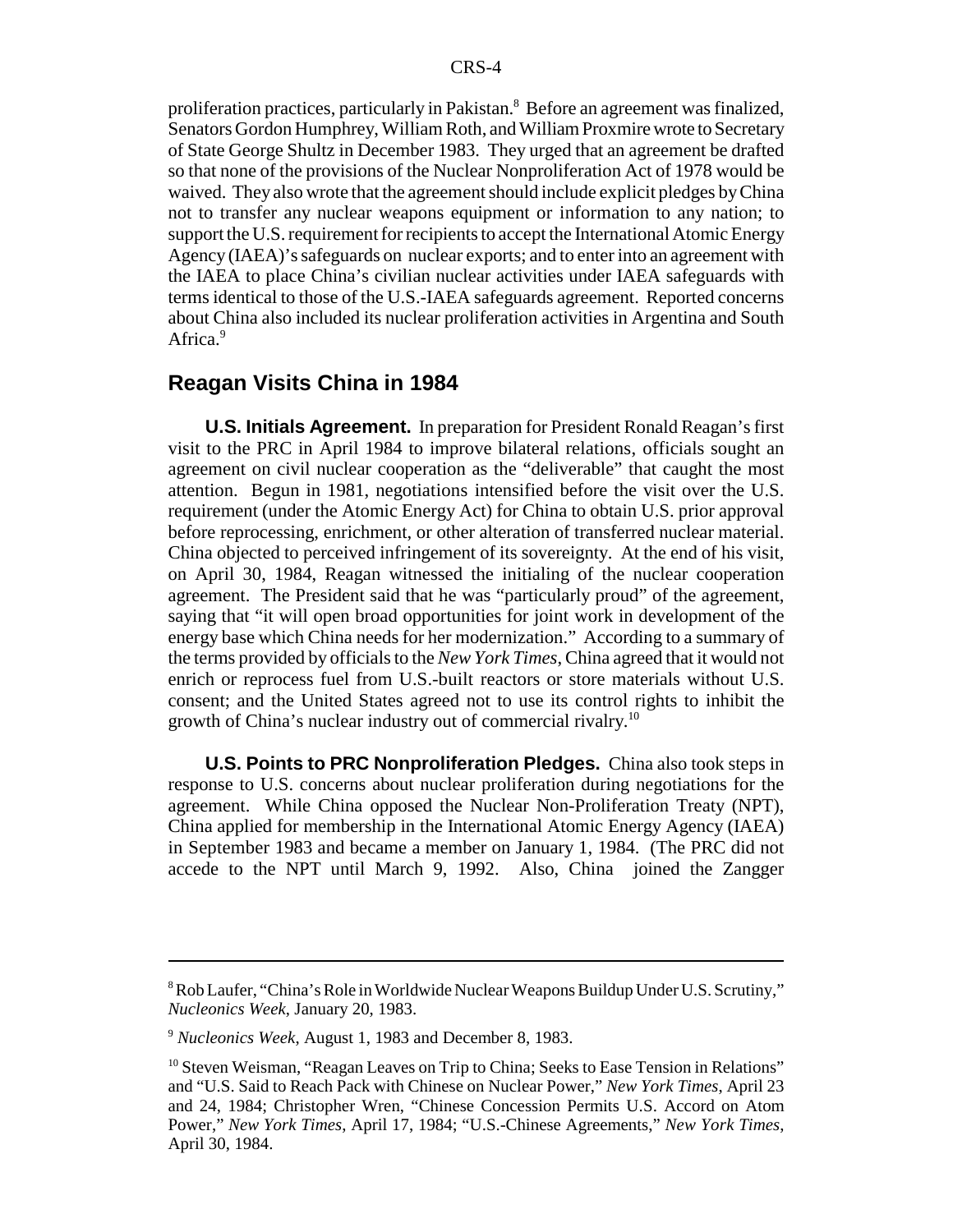proliferation practices, particularly in Pakistan.<sup>8</sup> Before an agreement was finalized, Senators Gordon Humphrey, William Roth, and William Proxmire wrote to Secretary of State George Shultz in December 1983. They urged that an agreement be drafted so that none of the provisions of the Nuclear Nonproliferation Act of 1978 would be waived. They also wrote that the agreement should include explicit pledges by China not to transfer any nuclear weapons equipment or information to any nation; to support the U.S. requirement for recipients to accept the International Atomic Energy Agency (IAEA)'s safeguards on nuclear exports; and to enter into an agreement with the IAEA to place China's civilian nuclear activities under IAEA safeguards with terms identical to those of the U.S.-IAEA safeguards agreement. Reported concerns about China also included its nuclear proliferation activities in Argentina and South Africa.<sup>9</sup>

#### **Reagan Visits China in 1984**

**U.S. Initials Agreement.** In preparation for President Ronald Reagan's first visit to the PRC in April 1984 to improve bilateral relations, officials sought an agreement on civil nuclear cooperation as the "deliverable" that caught the most attention. Begun in 1981, negotiations intensified before the visit over the U.S. requirement (under the Atomic Energy Act) for China to obtain U.S. prior approval before reprocessing, enrichment, or other alteration of transferred nuclear material. China objected to perceived infringement of its sovereignty. At the end of his visit, on April 30, 1984, Reagan witnessed the initialing of the nuclear cooperation agreement. The President said that he was "particularly proud" of the agreement, saying that "it will open broad opportunities for joint work in development of the energy base which China needs for her modernization." According to a summary of the terms provided by officials to the *New York Times*, China agreed that it would not enrich or reprocess fuel from U.S.-built reactors or store materials without U.S. consent; and the United States agreed not to use its control rights to inhibit the growth of China's nuclear industry out of commercial rivalry.<sup>10</sup>

**U.S. Points to PRC Nonproliferation Pledges.** China also took steps in response to U.S. concerns about nuclear proliferation during negotiations for the agreement. While China opposed the Nuclear Non-Proliferation Treaty (NPT), China applied for membership in the International Atomic Energy Agency (IAEA) in September 1983 and became a member on January 1, 1984. (The PRC did not accede to the NPT until March 9, 1992. Also, China joined the Zangger

<sup>&</sup>lt;sup>8</sup> Rob Laufer, "China's Role in Worldwide Nuclear Weapons Buildup Under U.S. Scrutiny," *Nucleonics Week*, January 20, 1983.

<sup>9</sup> *Nucleonics Week*, August 1, 1983 and December 8, 1983.

 $10$  Steven Weisman, "Reagan Leaves on Trip to China; Seeks to Ease Tension in Relations" and "U.S. Said to Reach Pack with Chinese on Nuclear Power," *New York Times*, April 23 and 24, 1984; Christopher Wren, "Chinese Concession Permits U.S. Accord on Atom Power," *New York Times*, April 17, 1984; "U.S.-Chinese Agreements," *New York Times*, April 30, 1984.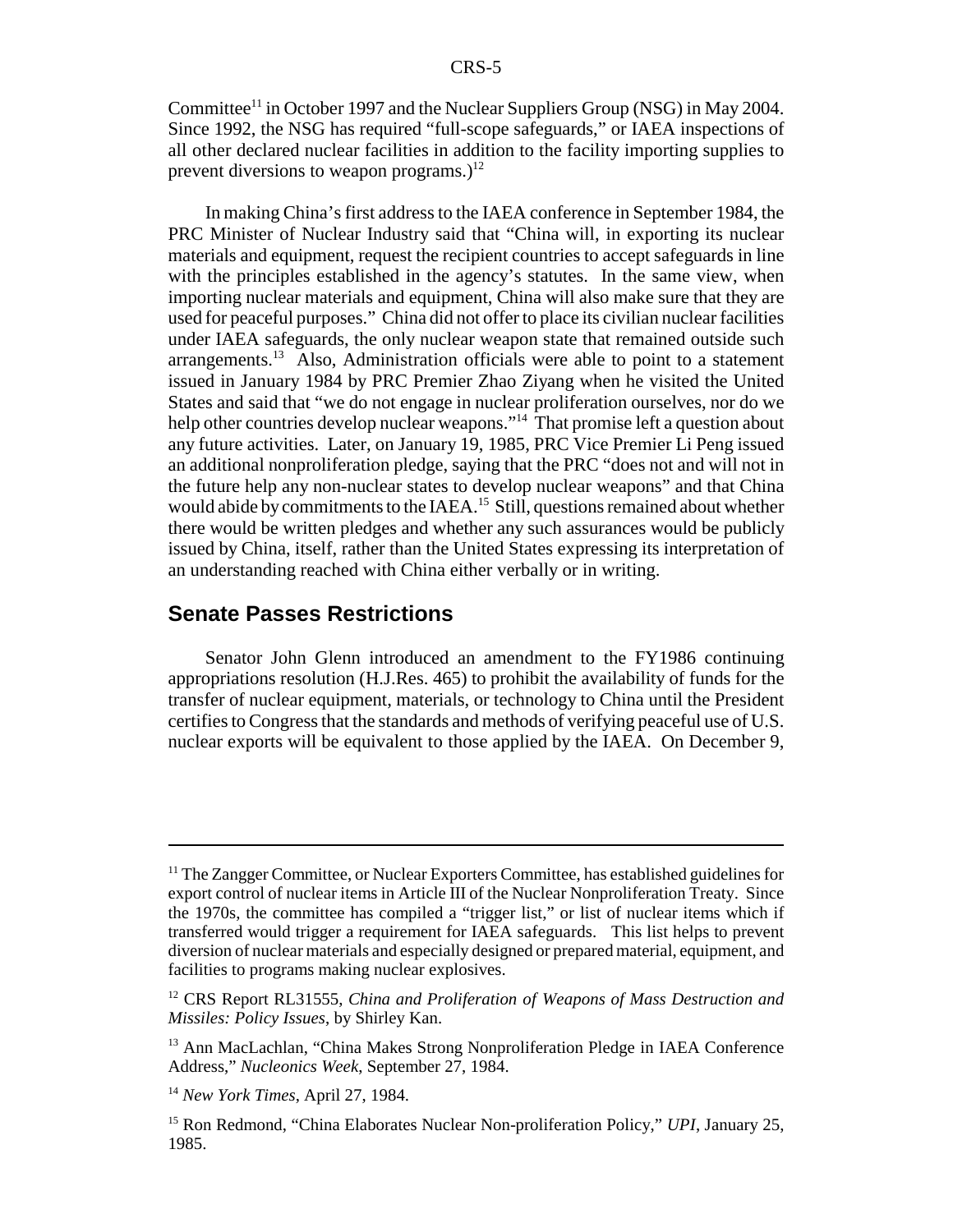Committee11 in October 1997 and the Nuclear Suppliers Group (NSG) in May 2004. Since 1992, the NSG has required "full-scope safeguards," or IAEA inspections of all other declared nuclear facilities in addition to the facility importing supplies to prevent diversions to weapon programs.)<sup>12</sup>

In making China's first address to the IAEA conference in September 1984, the PRC Minister of Nuclear Industry said that "China will, in exporting its nuclear materials and equipment, request the recipient countries to accept safeguards in line with the principles established in the agency's statutes. In the same view, when importing nuclear materials and equipment, China will also make sure that they are used for peaceful purposes." China did not offer to place its civilian nuclear facilities under IAEA safeguards, the only nuclear weapon state that remained outside such  $arrangements.<sup>13</sup>$  Also, Administration officials were able to point to a statement issued in January 1984 by PRC Premier Zhao Ziyang when he visited the United States and said that "we do not engage in nuclear proliferation ourselves, nor do we help other countries develop nuclear weapons."<sup>14</sup> That promise left a question about any future activities. Later, on January 19, 1985, PRC Vice Premier Li Peng issued an additional nonproliferation pledge, saying that the PRC "does not and will not in the future help any non-nuclear states to develop nuclear weapons" and that China would abide by commitments to the IAEA.<sup>15</sup> Still, questions remained about whether there would be written pledges and whether any such assurances would be publicly issued by China, itself, rather than the United States expressing its interpretation of an understanding reached with China either verbally or in writing.

#### **Senate Passes Restrictions**

Senator John Glenn introduced an amendment to the FY1986 continuing appropriations resolution (H.J.Res. 465) to prohibit the availability of funds for the transfer of nuclear equipment, materials, or technology to China until the President certifies to Congress that the standards and methods of verifying peaceful use of U.S. nuclear exports will be equivalent to those applied by the IAEA. On December 9,

<sup>&</sup>lt;sup>11</sup> The Zangger Committee, or Nuclear Exporters Committee, has established guidelines for export control of nuclear items in Article III of the Nuclear Nonproliferation Treaty. Since the 1970s, the committee has compiled a "trigger list," or list of nuclear items which if transferred would trigger a requirement for IAEA safeguards. This list helps to prevent diversion of nuclear materials and especially designed or prepared material, equipment, and facilities to programs making nuclear explosives.

<sup>12</sup> CRS Report RL31555, *China and Proliferation of Weapons of Mass Destruction and Missiles: Policy Issues*, by Shirley Kan.

<sup>&</sup>lt;sup>13</sup> Ann MacLachlan, "China Makes Strong Nonproliferation Pledge in IAEA Conference Address," *Nucleonics Week*, September 27, 1984.

<sup>14</sup> *New York Times*, April 27, 1984.

<sup>15</sup> Ron Redmond, "China Elaborates Nuclear Non-proliferation Policy," *UPI*, January 25, 1985.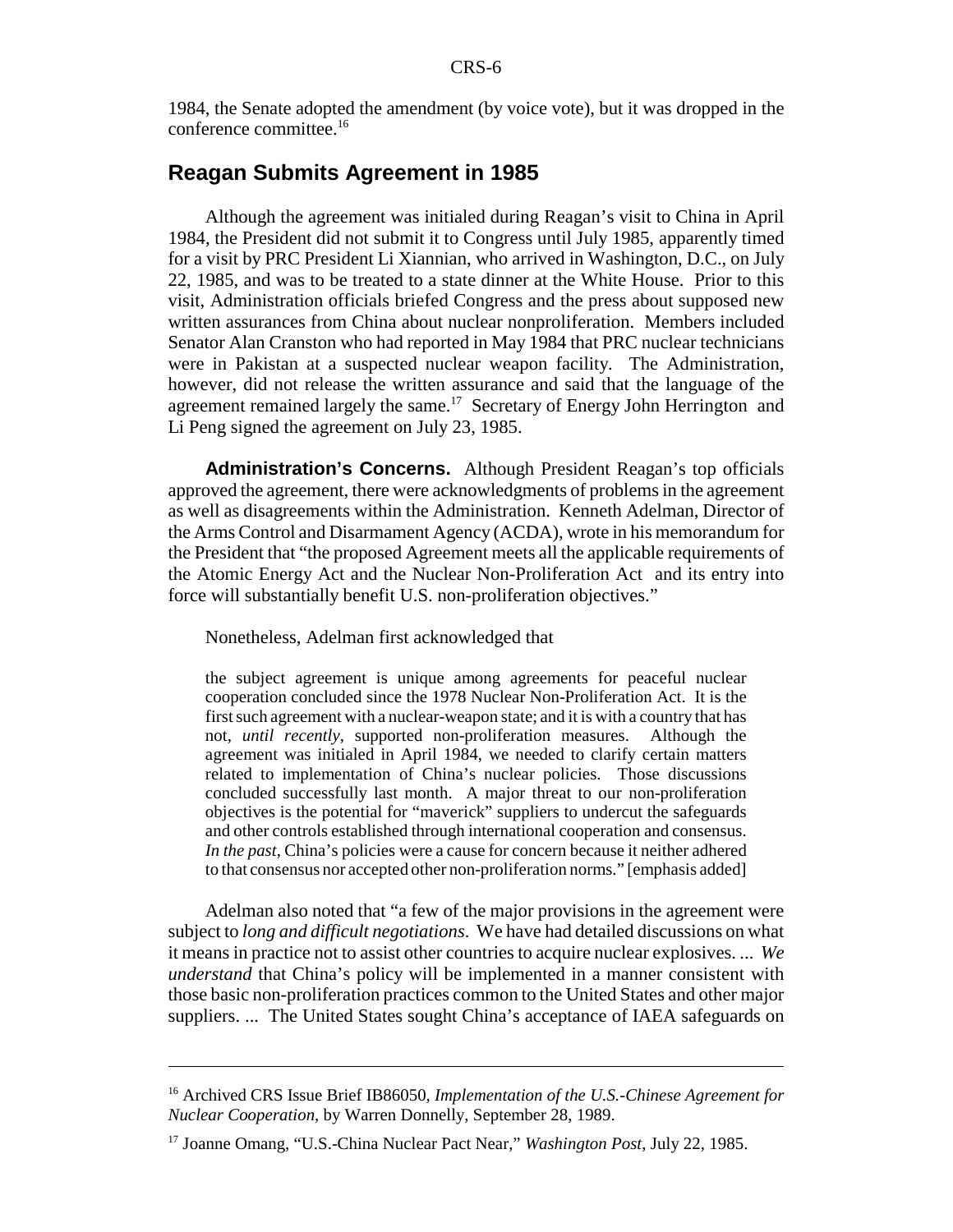1984, the Senate adopted the amendment (by voice vote), but it was dropped in the conference committee.16

#### **Reagan Submits Agreement in 1985**

Although the agreement was initialed during Reagan's visit to China in April 1984, the President did not submit it to Congress until July 1985, apparently timed for a visit by PRC President Li Xiannian, who arrived in Washington, D.C., on July 22, 1985, and was to be treated to a state dinner at the White House. Prior to this visit, Administration officials briefed Congress and the press about supposed new written assurances from China about nuclear nonproliferation. Members included Senator Alan Cranston who had reported in May 1984 that PRC nuclear technicians were in Pakistan at a suspected nuclear weapon facility. The Administration, however, did not release the written assurance and said that the language of the agreement remained largely the same.<sup>17</sup> Secretary of Energy John Herrington and Li Peng signed the agreement on July 23, 1985.

**Administration's Concerns.** Although President Reagan's top officials approved the agreement, there were acknowledgments of problems in the agreement as well as disagreements within the Administration. Kenneth Adelman, Director of the Arms Control and Disarmament Agency (ACDA), wrote in his memorandum for the President that "the proposed Agreement meets all the applicable requirements of the Atomic Energy Act and the Nuclear Non-Proliferation Act and its entry into force will substantially benefit U.S. non-proliferation objectives."

Nonetheless, Adelman first acknowledged that

the subject agreement is unique among agreements for peaceful nuclear cooperation concluded since the 1978 Nuclear Non-Proliferation Act. It is the first such agreement with a nuclear-weapon state; and it is with a country that has not, *until recently*, supported non-proliferation measures. Although the agreement was initialed in April 1984, we needed to clarify certain matters related to implementation of China's nuclear policies. Those discussions concluded successfully last month. A major threat to our non-proliferation objectives is the potential for "maverick" suppliers to undercut the safeguards and other controls established through international cooperation and consensus. *In the past*, China's policies were a cause for concern because it neither adhered to that consensus nor accepted other non-proliferation norms." [emphasis added]

Adelman also noted that "a few of the major provisions in the agreement were subject to *long and difficult negotiations*. We have had detailed discussions on what it means in practice not to assist other countries to acquire nuclear explosives. ... *We understand* that China's policy will be implemented in a manner consistent with those basic non-proliferation practices common to the United States and other major suppliers. ... The United States sought China's acceptance of IAEA safeguards on

<sup>16</sup> Archived CRS Issue Brief IB86050, *Implementation of the U.S.-Chinese Agreement for Nuclear Cooperation*, by Warren Donnelly, September 28, 1989.

<sup>17</sup> Joanne Omang, "U.S.-China Nuclear Pact Near," *Washington Post*, July 22, 1985.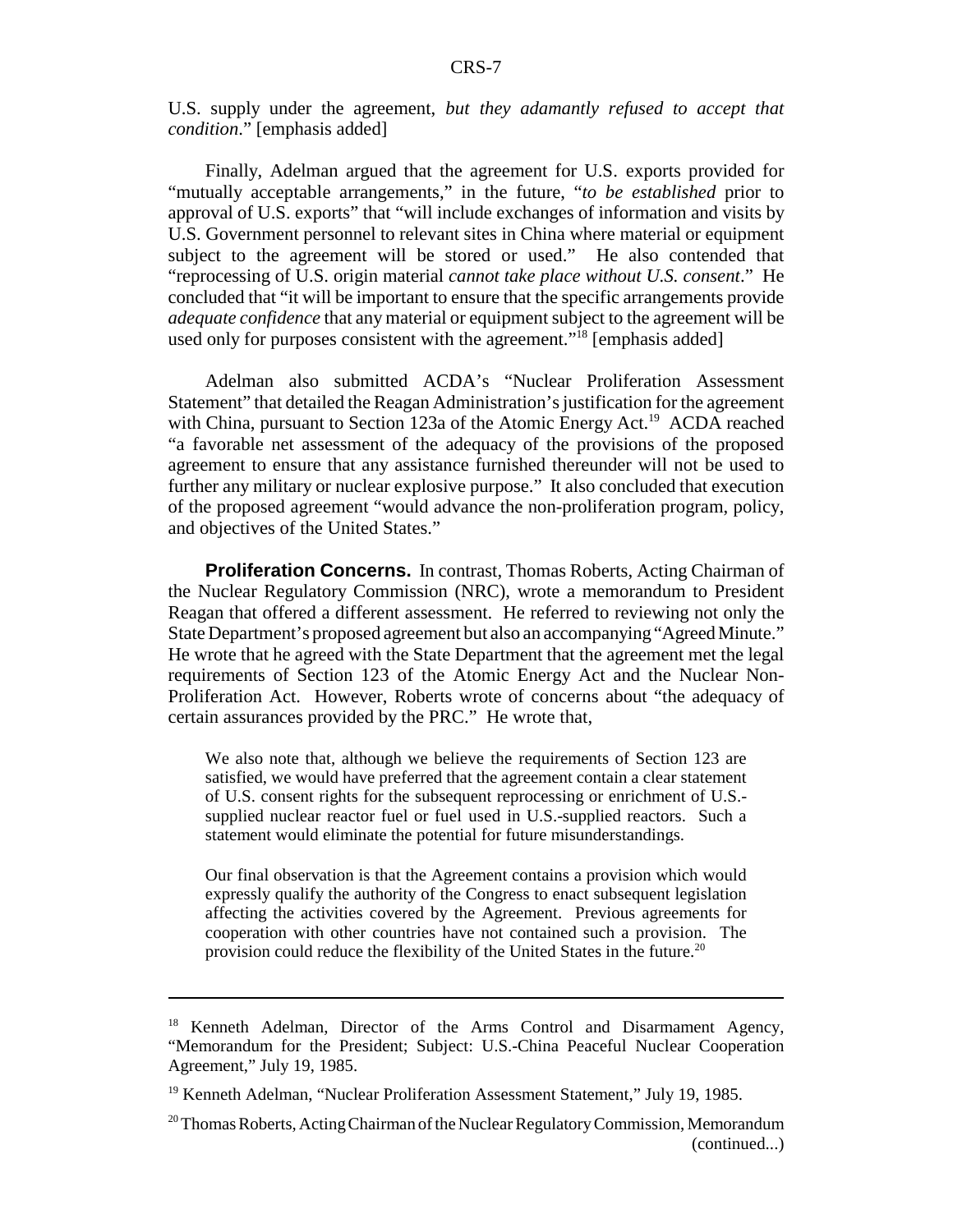U.S. supply under the agreement, *but they adamantly refused to accept that condition*." [emphasis added]

Finally, Adelman argued that the agreement for U.S. exports provided for "mutually acceptable arrangements," in the future, "*to be established* prior to approval of U.S. exports" that "will include exchanges of information and visits by U.S. Government personnel to relevant sites in China where material or equipment subject to the agreement will be stored or used." He also contended that "reprocessing of U.S. origin material *cannot take place without U.S. consent*." He concluded that "it will be important to ensure that the specific arrangements provide *adequate confidence* that any material or equipment subject to the agreement will be used only for purposes consistent with the agreement."<sup>18</sup> [emphasis added]

Adelman also submitted ACDA's "Nuclear Proliferation Assessment Statement" that detailed the Reagan Administration's justification for the agreement with China, pursuant to Section 123a of the Atomic Energy Act.<sup>19</sup> ACDA reached "a favorable net assessment of the adequacy of the provisions of the proposed agreement to ensure that any assistance furnished thereunder will not be used to further any military or nuclear explosive purpose." It also concluded that execution of the proposed agreement "would advance the non-proliferation program, policy, and objectives of the United States."

**Proliferation Concerns.** In contrast, Thomas Roberts, Acting Chairman of the Nuclear Regulatory Commission (NRC), wrote a memorandum to President Reagan that offered a different assessment. He referred to reviewing not only the State Department's proposed agreement but also an accompanying "Agreed Minute." He wrote that he agreed with the State Department that the agreement met the legal requirements of Section 123 of the Atomic Energy Act and the Nuclear Non-Proliferation Act. However, Roberts wrote of concerns about "the adequacy of certain assurances provided by the PRC." He wrote that,

We also note that, although we believe the requirements of Section 123 are satisfied, we would have preferred that the agreement contain a clear statement of U.S. consent rights for the subsequent reprocessing or enrichment of U.S. supplied nuclear reactor fuel or fuel used in U.S.-supplied reactors. Such a statement would eliminate the potential for future misunderstandings.

Our final observation is that the Agreement contains a provision which would expressly qualify the authority of the Congress to enact subsequent legislation affecting the activities covered by the Agreement. Previous agreements for cooperation with other countries have not contained such a provision. The provision could reduce the flexibility of the United States in the future.<sup>20</sup>

<sup>&</sup>lt;sup>18</sup> Kenneth Adelman, Director of the Arms Control and Disarmament Agency, "Memorandum for the President; Subject: U.S.-China Peaceful Nuclear Cooperation Agreement," July 19, 1985.

<sup>&</sup>lt;sup>19</sup> Kenneth Adelman, "Nuclear Proliferation Assessment Statement," July 19, 1985.

<sup>&</sup>lt;sup>20</sup> Thomas Roberts, Acting Chairman of the Nuclear Regulatory Commission, Memorandum (continued...)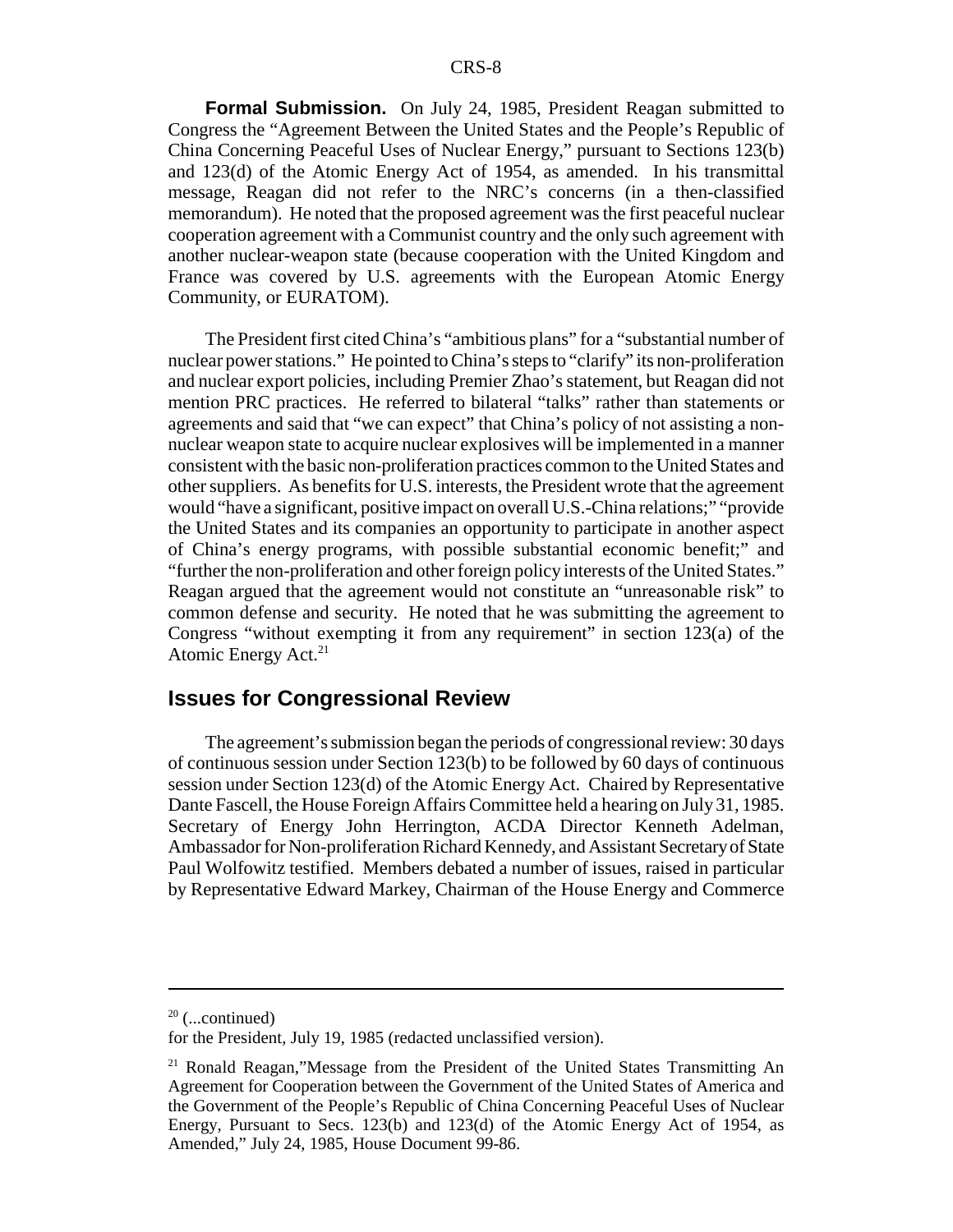**Formal Submission.** On July 24, 1985, President Reagan submitted to Congress the "Agreement Between the United States and the People's Republic of China Concerning Peaceful Uses of Nuclear Energy," pursuant to Sections 123(b) and 123(d) of the Atomic Energy Act of 1954, as amended. In his transmittal message, Reagan did not refer to the NRC's concerns (in a then-classified memorandum). He noted that the proposed agreement was the first peaceful nuclear cooperation agreement with a Communist country and the only such agreement with another nuclear-weapon state (because cooperation with the United Kingdom and France was covered by U.S. agreements with the European Atomic Energy Community, or EURATOM).

The President first cited China's "ambitious plans" for a "substantial number of nuclear power stations." He pointed to China's steps to "clarify" its non-proliferation and nuclear export policies, including Premier Zhao's statement, but Reagan did not mention PRC practices. He referred to bilateral "talks" rather than statements or agreements and said that "we can expect" that China's policy of not assisting a nonnuclear weapon state to acquire nuclear explosives will be implemented in a manner consistent with the basic non-proliferation practices common to the United States and other suppliers. As benefits for U.S. interests, the President wrote that the agreement would "have a significant, positive impact on overall U.S.-China relations;" "provide the United States and its companies an opportunity to participate in another aspect of China's energy programs, with possible substantial economic benefit;" and "further the non-proliferation and other foreign policy interests of the United States." Reagan argued that the agreement would not constitute an "unreasonable risk" to common defense and security. He noted that he was submitting the agreement to Congress "without exempting it from any requirement" in section 123(a) of the Atomic Energy Act. $21$ 

### **Issues for Congressional Review**

The agreement's submission began the periods of congressional review: 30 days of continuous session under Section 123(b) to be followed by 60 days of continuous session under Section 123(d) of the Atomic Energy Act. Chaired by Representative Dante Fascell, the House Foreign Affairs Committee held a hearing on July 31, 1985. Secretary of Energy John Herrington, ACDA Director Kenneth Adelman, Ambassador for Non-proliferation Richard Kennedy, and Assistant Secretary of State Paul Wolfowitz testified. Members debated a number of issues, raised in particular by Representative Edward Markey, Chairman of the House Energy and Commerce

 $20$  (...continued)

for the President, July 19, 1985 (redacted unclassified version).

<sup>&</sup>lt;sup>21</sup> Ronald Reagan,"Message from the President of the United States Transmitting An Agreement for Cooperation between the Government of the United States of America and the Government of the People's Republic of China Concerning Peaceful Uses of Nuclear Energy, Pursuant to Secs. 123(b) and 123(d) of the Atomic Energy Act of 1954, as Amended," July 24, 1985, House Document 99-86.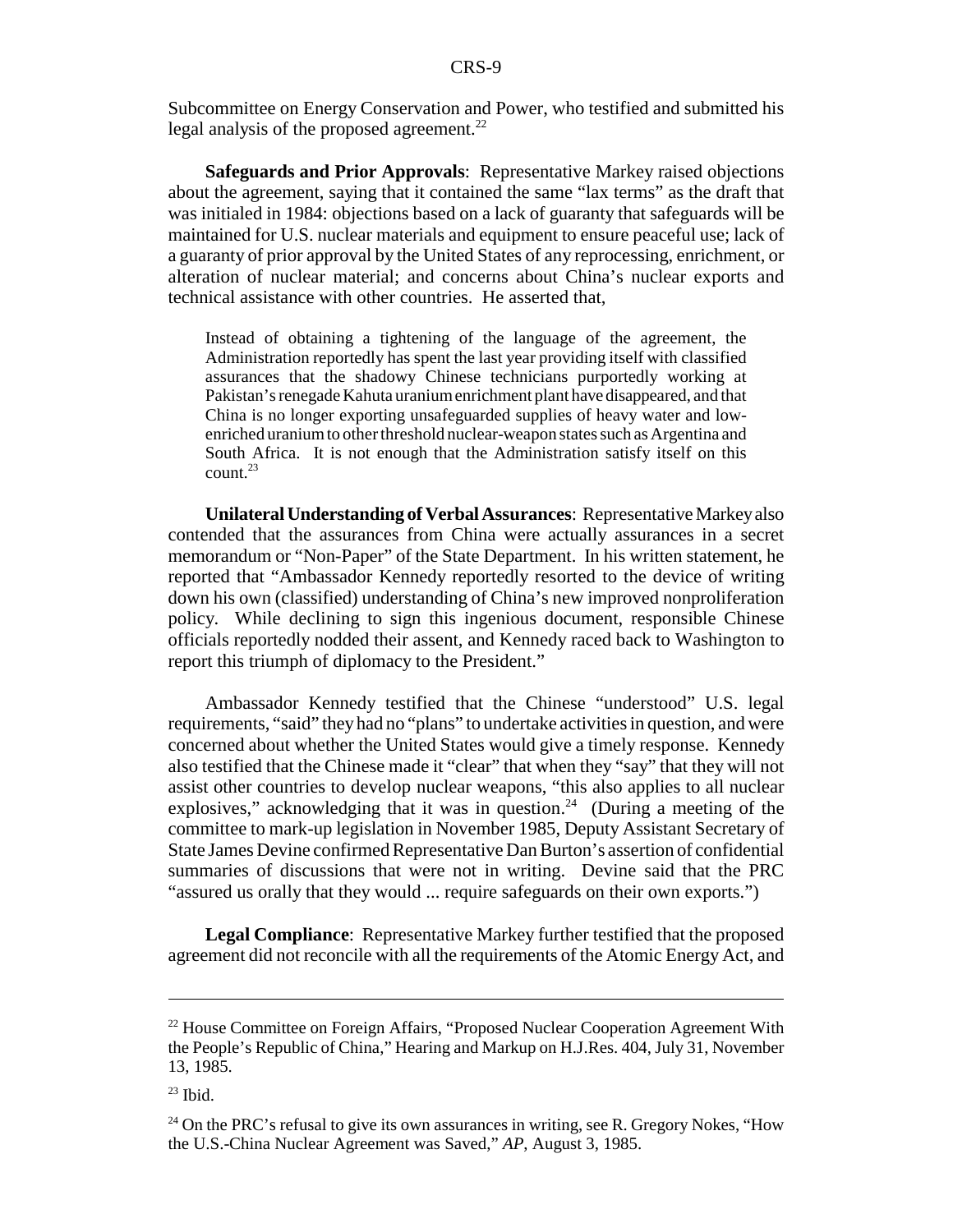Subcommittee on Energy Conservation and Power, who testified and submitted his legal analysis of the proposed agreement. $^{22}$ 

**Safeguards and Prior Approvals**: Representative Markey raised objections about the agreement, saying that it contained the same "lax terms" as the draft that was initialed in 1984: objections based on a lack of guaranty that safeguards will be maintained for U.S. nuclear materials and equipment to ensure peaceful use; lack of a guaranty of prior approval by the United States of any reprocessing, enrichment, or alteration of nuclear material; and concerns about China's nuclear exports and technical assistance with other countries. He asserted that,

Instead of obtaining a tightening of the language of the agreement, the Administration reportedly has spent the last year providing itself with classified assurances that the shadowy Chinese technicians purportedly working at Pakistan's renegade Kahuta uranium enrichment plant have disappeared, and that China is no longer exporting unsafeguarded supplies of heavy water and lowenriched uranium to other threshold nuclear-weapon states such as Argentina and South Africa. It is not enough that the Administration satisfy itself on this count.23

**Unilateral Understanding of Verbal Assurances**: Representative Markey also contended that the assurances from China were actually assurances in a secret memorandum or "Non-Paper" of the State Department. In his written statement, he reported that "Ambassador Kennedy reportedly resorted to the device of writing down his own (classified) understanding of China's new improved nonproliferation policy. While declining to sign this ingenious document, responsible Chinese officials reportedly nodded their assent, and Kennedy raced back to Washington to report this triumph of diplomacy to the President."

Ambassador Kennedy testified that the Chinese "understood" U.S. legal requirements, "said" they had no "plans" to undertake activities in question, and were concerned about whether the United States would give a timely response. Kennedy also testified that the Chinese made it "clear" that when they "say" that they will not assist other countries to develop nuclear weapons, "this also applies to all nuclear explosives," acknowledging that it was in question.<sup>24</sup> (During a meeting of the committee to mark-up legislation in November 1985, Deputy Assistant Secretary of State James Devine confirmed Representative Dan Burton's assertion of confidential summaries of discussions that were not in writing. Devine said that the PRC "assured us orally that they would ... require safeguards on their own exports.")

**Legal Compliance**: Representative Markey further testified that the proposed agreement did not reconcile with all the requirements of the Atomic Energy Act, and

<sup>&</sup>lt;sup>22</sup> House Committee on Foreign Affairs, "Proposed Nuclear Cooperation Agreement With the People's Republic of China," Hearing and Markup on H.J.Res. 404, July 31, November 13, 1985.

 $23$  Ibid.

<sup>&</sup>lt;sup>24</sup> On the PRC's refusal to give its own assurances in writing, see R. Gregory Nokes, "How the U.S.-China Nuclear Agreement was Saved," *AP*, August 3, 1985.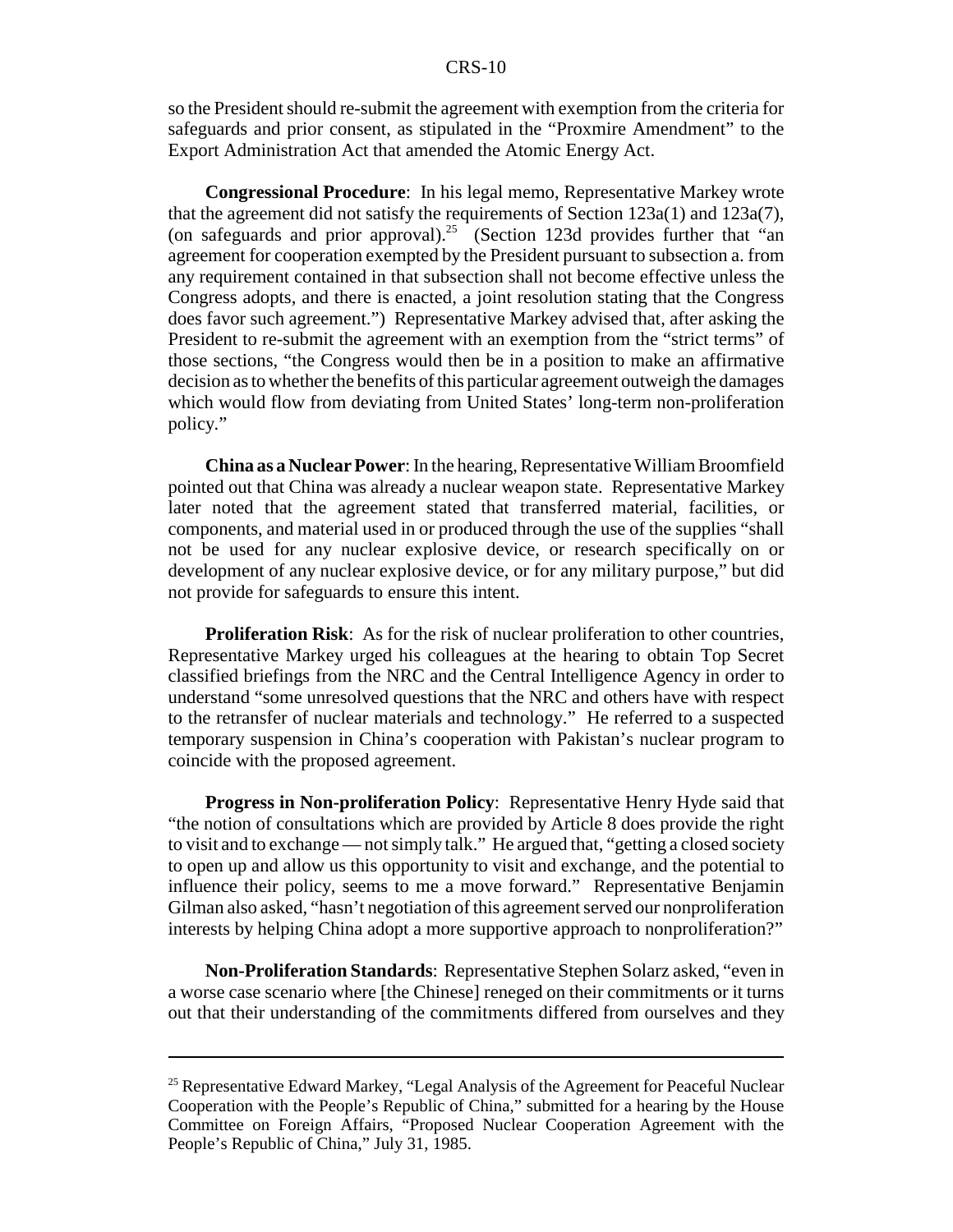#### CRS-10

so the President should re-submit the agreement with exemption from the criteria for safeguards and prior consent, as stipulated in the "Proxmire Amendment" to the Export Administration Act that amended the Atomic Energy Act.

**Congressional Procedure**: In his legal memo, Representative Markey wrote that the agreement did not satisfy the requirements of Section 123a(1) and 123a(7), (on safeguards and prior approval).<sup>25</sup> (Section 123d provides further that "an agreement for cooperation exempted by the President pursuant to subsection a. from any requirement contained in that subsection shall not become effective unless the Congress adopts, and there is enacted, a joint resolution stating that the Congress does favor such agreement.") Representative Markey advised that, after asking the President to re-submit the agreement with an exemption from the "strict terms" of those sections, "the Congress would then be in a position to make an affirmative decision as to whether the benefits of this particular agreement outweigh the damages which would flow from deviating from United States' long-term non-proliferation policy."

**China as a Nuclear Power**: In the hearing, Representative William Broomfield pointed out that China was already a nuclear weapon state. Representative Markey later noted that the agreement stated that transferred material, facilities, or components, and material used in or produced through the use of the supplies "shall not be used for any nuclear explosive device, or research specifically on or development of any nuclear explosive device, or for any military purpose," but did not provide for safeguards to ensure this intent.

**Proliferation Risk:** As for the risk of nuclear proliferation to other countries, Representative Markey urged his colleagues at the hearing to obtain Top Secret classified briefings from the NRC and the Central Intelligence Agency in order to understand "some unresolved questions that the NRC and others have with respect to the retransfer of nuclear materials and technology." He referred to a suspected temporary suspension in China's cooperation with Pakistan's nuclear program to coincide with the proposed agreement.

**Progress in Non-proliferation Policy**: Representative Henry Hyde said that "the notion of consultations which are provided by Article 8 does provide the right to visit and to exchange — not simply talk." He argued that, "getting a closed society to open up and allow us this opportunity to visit and exchange, and the potential to influence their policy, seems to me a move forward." Representative Benjamin Gilman also asked, "hasn't negotiation of this agreement served our nonproliferation interests by helping China adopt a more supportive approach to nonproliferation?"

**Non-Proliferation Standards**: Representative Stephen Solarz asked, "even in a worse case scenario where [the Chinese] reneged on their commitments or it turns out that their understanding of the commitments differed from ourselves and they

<sup>&</sup>lt;sup>25</sup> Representative Edward Markey, "Legal Analysis of the Agreement for Peaceful Nuclear Cooperation with the People's Republic of China," submitted for a hearing by the House Committee on Foreign Affairs, "Proposed Nuclear Cooperation Agreement with the People's Republic of China," July 31, 1985.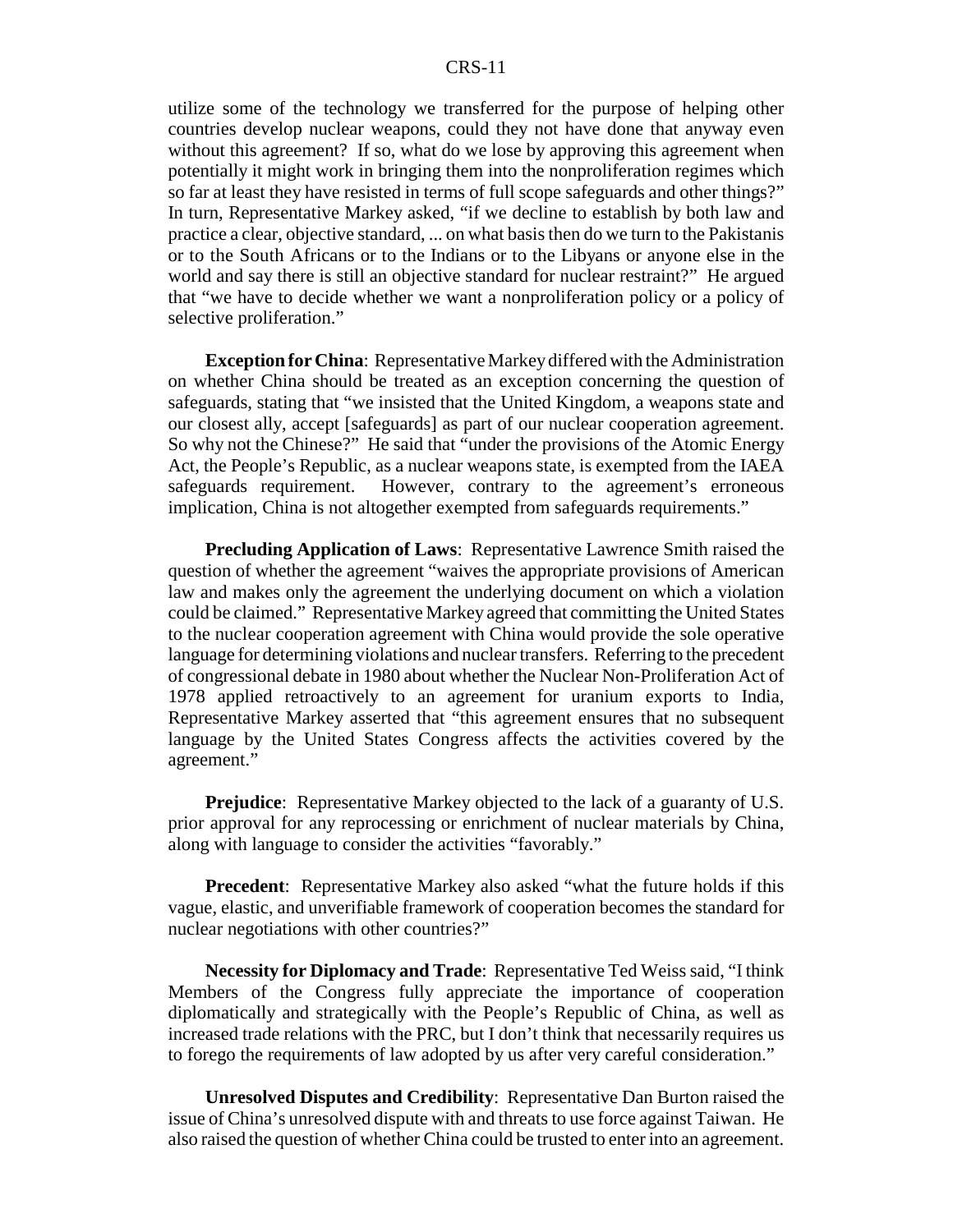utilize some of the technology we transferred for the purpose of helping other countries develop nuclear weapons, could they not have done that anyway even without this agreement? If so, what do we lose by approving this agreement when potentially it might work in bringing them into the nonproliferation regimes which so far at least they have resisted in terms of full scope safeguards and other things?" In turn, Representative Markey asked, "if we decline to establish by both law and practice a clear, objective standard, ... on what basis then do we turn to the Pakistanis or to the South Africans or to the Indians or to the Libyans or anyone else in the world and say there is still an objective standard for nuclear restraint?" He argued that "we have to decide whether we want a nonproliferation policy or a policy of selective proliferation."

**Exception for China**: Representative Markey differed with the Administration on whether China should be treated as an exception concerning the question of safeguards, stating that "we insisted that the United Kingdom, a weapons state and our closest ally, accept [safeguards] as part of our nuclear cooperation agreement. So why not the Chinese?" He said that "under the provisions of the Atomic Energy Act, the People's Republic, as a nuclear weapons state, is exempted from the IAEA safeguards requirement. However, contrary to the agreement's erroneous implication, China is not altogether exempted from safeguards requirements."

**Precluding Application of Laws**: Representative Lawrence Smith raised the question of whether the agreement "waives the appropriate provisions of American law and makes only the agreement the underlying document on which a violation could be claimed." Representative Markey agreed that committing the United States to the nuclear cooperation agreement with China would provide the sole operative language for determining violations and nuclear transfers. Referring to the precedent of congressional debate in 1980 about whether the Nuclear Non-Proliferation Act of 1978 applied retroactively to an agreement for uranium exports to India, Representative Markey asserted that "this agreement ensures that no subsequent language by the United States Congress affects the activities covered by the agreement."

**Prejudice:** Representative Markey objected to the lack of a guaranty of U.S. prior approval for any reprocessing or enrichment of nuclear materials by China, along with language to consider the activities "favorably."

**Precedent**: Representative Markey also asked "what the future holds if this vague, elastic, and unverifiable framework of cooperation becomes the standard for nuclear negotiations with other countries?"

**Necessity for Diplomacy and Trade**: Representative Ted Weiss said, "I think Members of the Congress fully appreciate the importance of cooperation diplomatically and strategically with the People's Republic of China, as well as increased trade relations with the PRC, but I don't think that necessarily requires us to forego the requirements of law adopted by us after very careful consideration."

**Unresolved Disputes and Credibility**: Representative Dan Burton raised the issue of China's unresolved dispute with and threats to use force against Taiwan. He also raised the question of whether China could be trusted to enter into an agreement.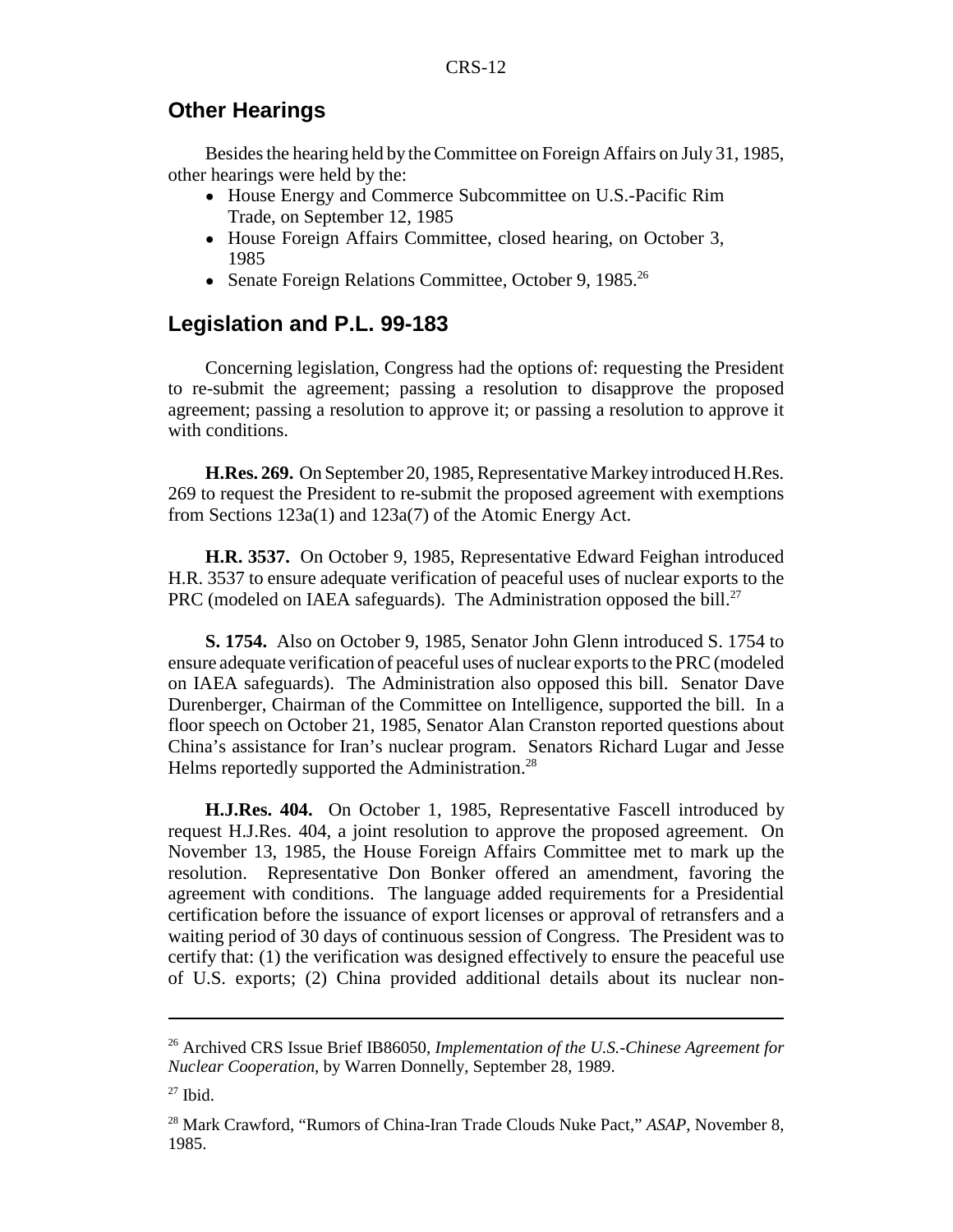#### **Other Hearings**

Besides the hearing held by the Committee on Foreign Affairs on July 31, 1985, other hearings were held by the:

- ! House Energy and Commerce Subcommittee on U.S.-Pacific Rim Trade, on September 12, 1985
- House Foreign Affairs Committee, closed hearing, on October 3, 1985
- Senate Foreign Relations Committee, October 9, 1985.<sup>26</sup>

#### **Legislation and P.L. 99-183**

Concerning legislation, Congress had the options of: requesting the President to re-submit the agreement; passing a resolution to disapprove the proposed agreement; passing a resolution to approve it; or passing a resolution to approve it with conditions.

**H.Res. 269.** On September 20, 1985, Representative Markey introduced H.Res. 269 to request the President to re-submit the proposed agreement with exemptions from Sections 123a(1) and 123a(7) of the Atomic Energy Act.

**H.R. 3537.** On October 9, 1985, Representative Edward Feighan introduced H.R. 3537 to ensure adequate verification of peaceful uses of nuclear exports to the PRC (modeled on IAEA safeguards). The Administration opposed the bill. $^{27}$ 

**S. 1754.** Also on October 9, 1985, Senator John Glenn introduced S. 1754 to ensure adequate verification of peaceful uses of nuclear exports to the PRC (modeled on IAEA safeguards). The Administration also opposed this bill. Senator Dave Durenberger, Chairman of the Committee on Intelligence, supported the bill. In a floor speech on October 21, 1985, Senator Alan Cranston reported questions about China's assistance for Iran's nuclear program. Senators Richard Lugar and Jesse Helms reportedly supported the Administration.<sup>28</sup>

**H.J.Res. 404.** On October 1, 1985, Representative Fascell introduced by request H.J.Res. 404, a joint resolution to approve the proposed agreement. On November 13, 1985, the House Foreign Affairs Committee met to mark up the resolution. Representative Don Bonker offered an amendment, favoring the agreement with conditions. The language added requirements for a Presidential certification before the issuance of export licenses or approval of retransfers and a waiting period of 30 days of continuous session of Congress. The President was to certify that: (1) the verification was designed effectively to ensure the peaceful use of U.S. exports; (2) China provided additional details about its nuclear non-

<sup>26</sup> Archived CRS Issue Brief IB86050, *Implementation of the U.S.-Chinese Agreement for Nuclear Cooperation*, by Warren Donnelly, September 28, 1989.

 $27$  Ibid.

<sup>28</sup> Mark Crawford, "Rumors of China-Iran Trade Clouds Nuke Pact," *ASAP*, November 8, 1985.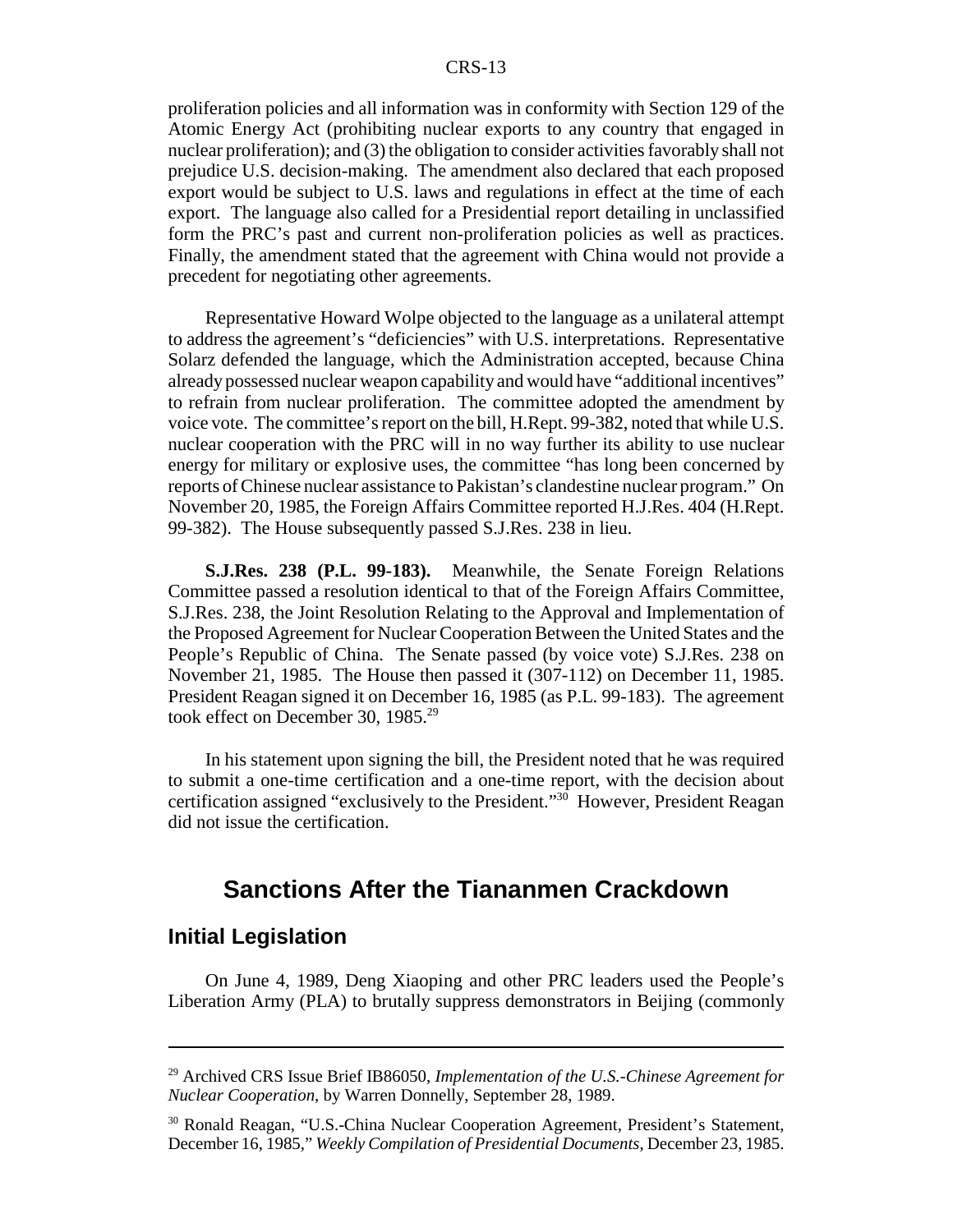proliferation policies and all information was in conformity with Section 129 of the Atomic Energy Act (prohibiting nuclear exports to any country that engaged in nuclear proliferation); and (3) the obligation to consider activities favorably shall not prejudice U.S. decision-making. The amendment also declared that each proposed export would be subject to U.S. laws and regulations in effect at the time of each export. The language also called for a Presidential report detailing in unclassified form the PRC's past and current non-proliferation policies as well as practices. Finally, the amendment stated that the agreement with China would not provide a precedent for negotiating other agreements.

Representative Howard Wolpe objected to the language as a unilateral attempt to address the agreement's "deficiencies" with U.S. interpretations. Representative Solarz defended the language, which the Administration accepted, because China already possessed nuclear weapon capability and would have "additional incentives" to refrain from nuclear proliferation. The committee adopted the amendment by voice vote. The committee's report on the bill, H.Rept. 99-382, noted that while U.S. nuclear cooperation with the PRC will in no way further its ability to use nuclear energy for military or explosive uses, the committee "has long been concerned by reports of Chinese nuclear assistance to Pakistan's clandestine nuclear program." On November 20, 1985, the Foreign Affairs Committee reported H.J.Res. 404 (H.Rept. 99-382). The House subsequently passed S.J.Res. 238 in lieu.

**S.J.Res. 238 (P.L. 99-183).** Meanwhile, the Senate Foreign Relations Committee passed a resolution identical to that of the Foreign Affairs Committee, S.J.Res. 238, the Joint Resolution Relating to the Approval and Implementation of the Proposed Agreement for Nuclear Cooperation Between the United States and the People's Republic of China. The Senate passed (by voice vote) S.J.Res. 238 on November 21, 1985. The House then passed it (307-112) on December 11, 1985. President Reagan signed it on December 16, 1985 (as P.L. 99-183). The agreement took effect on December 30, 1985.<sup>29</sup>

In his statement upon signing the bill, the President noted that he was required to submit a one-time certification and a one-time report, with the decision about certification assigned "exclusively to the President."30 However, President Reagan did not issue the certification.

### **Sanctions After the Tiananmen Crackdown**

#### **Initial Legislation**

On June 4, 1989, Deng Xiaoping and other PRC leaders used the People's Liberation Army (PLA) to brutally suppress demonstrators in Beijing (commonly

<sup>29</sup> Archived CRS Issue Brief IB86050, *Implementation of the U.S.-Chinese Agreement for Nuclear Cooperation*, by Warren Donnelly, September 28, 1989.

<sup>30</sup> Ronald Reagan, "U.S.-China Nuclear Cooperation Agreement, President's Statement, December 16, 1985," *Weekly Compilation of Presidential Documents*, December 23, 1985.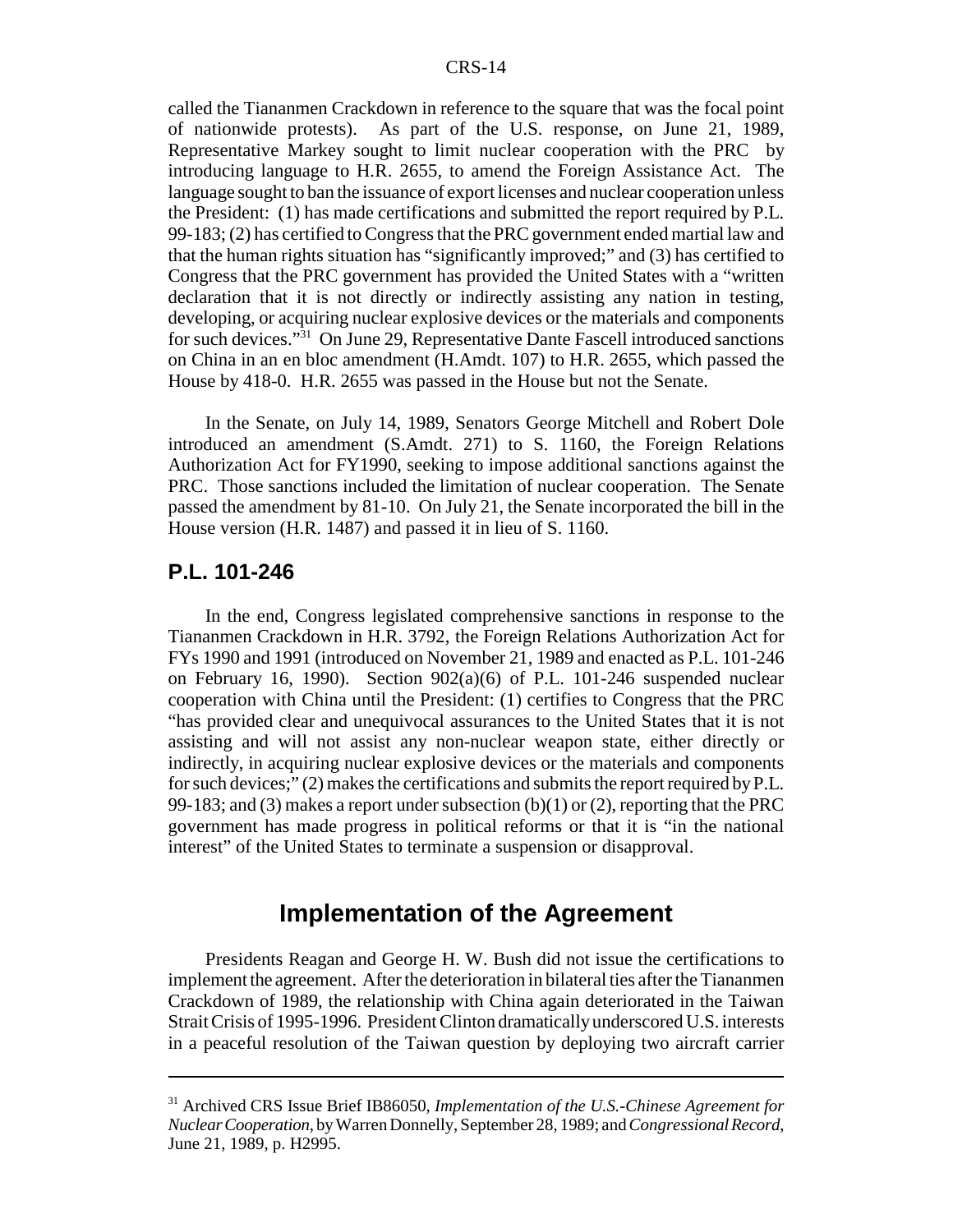called the Tiananmen Crackdown in reference to the square that was the focal point of nationwide protests). As part of the U.S. response, on June 21, 1989, Representative Markey sought to limit nuclear cooperation with the PRC by introducing language to H.R. 2655, to amend the Foreign Assistance Act. The language sought to ban the issuance of export licenses and nuclear cooperation unless the President: (1) has made certifications and submitted the report required by P.L. 99-183; (2) has certified to Congress that the PRC government ended martial law and that the human rights situation has "significantly improved;" and (3) has certified to Congress that the PRC government has provided the United States with a "written declaration that it is not directly or indirectly assisting any nation in testing, developing, or acquiring nuclear explosive devices or the materials and components for such devices."31 On June 29, Representative Dante Fascell introduced sanctions on China in an en bloc amendment (H.Amdt. 107) to H.R. 2655, which passed the House by 418-0. H.R. 2655 was passed in the House but not the Senate.

In the Senate, on July 14, 1989, Senators George Mitchell and Robert Dole introduced an amendment (S.Amdt. 271) to S. 1160, the Foreign Relations Authorization Act for FY1990, seeking to impose additional sanctions against the PRC. Those sanctions included the limitation of nuclear cooperation. The Senate passed the amendment by 81-10. On July 21, the Senate incorporated the bill in the House version (H.R. 1487) and passed it in lieu of S. 1160.

#### **P.L. 101-246**

In the end, Congress legislated comprehensive sanctions in response to the Tiananmen Crackdown in H.R. 3792, the Foreign Relations Authorization Act for FYs 1990 and 1991 (introduced on November 21, 1989 and enacted as P.L. 101-246 on February 16, 1990). Section 902(a)(6) of P.L. 101-246 suspended nuclear cooperation with China until the President: (1) certifies to Congress that the PRC "has provided clear and unequivocal assurances to the United States that it is not assisting and will not assist any non-nuclear weapon state, either directly or indirectly, in acquiring nuclear explosive devices or the materials and components for such devices;" (2) makes the certifications and submits the report required by P.L. 99-183; and (3) makes a report under subsection (b)(1) or (2), reporting that the PRC government has made progress in political reforms or that it is "in the national interest" of the United States to terminate a suspension or disapproval.

# **Implementation of the Agreement**

Presidents Reagan and George H. W. Bush did not issue the certifications to implement the agreement. After the deterioration in bilateral ties after the Tiananmen Crackdown of 1989, the relationship with China again deteriorated in the Taiwan Strait Crisis of 1995-1996. President Clinton dramatically underscored U.S. interests in a peaceful resolution of the Taiwan question by deploying two aircraft carrier

<sup>31</sup> Archived CRS Issue Brief IB86050, *Implementation of the U.S.-Chinese Agreement for Nuclear Cooperation*, by Warren Donnelly, September 28, 1989; and *Congressional Record*, June 21, 1989, p. H2995.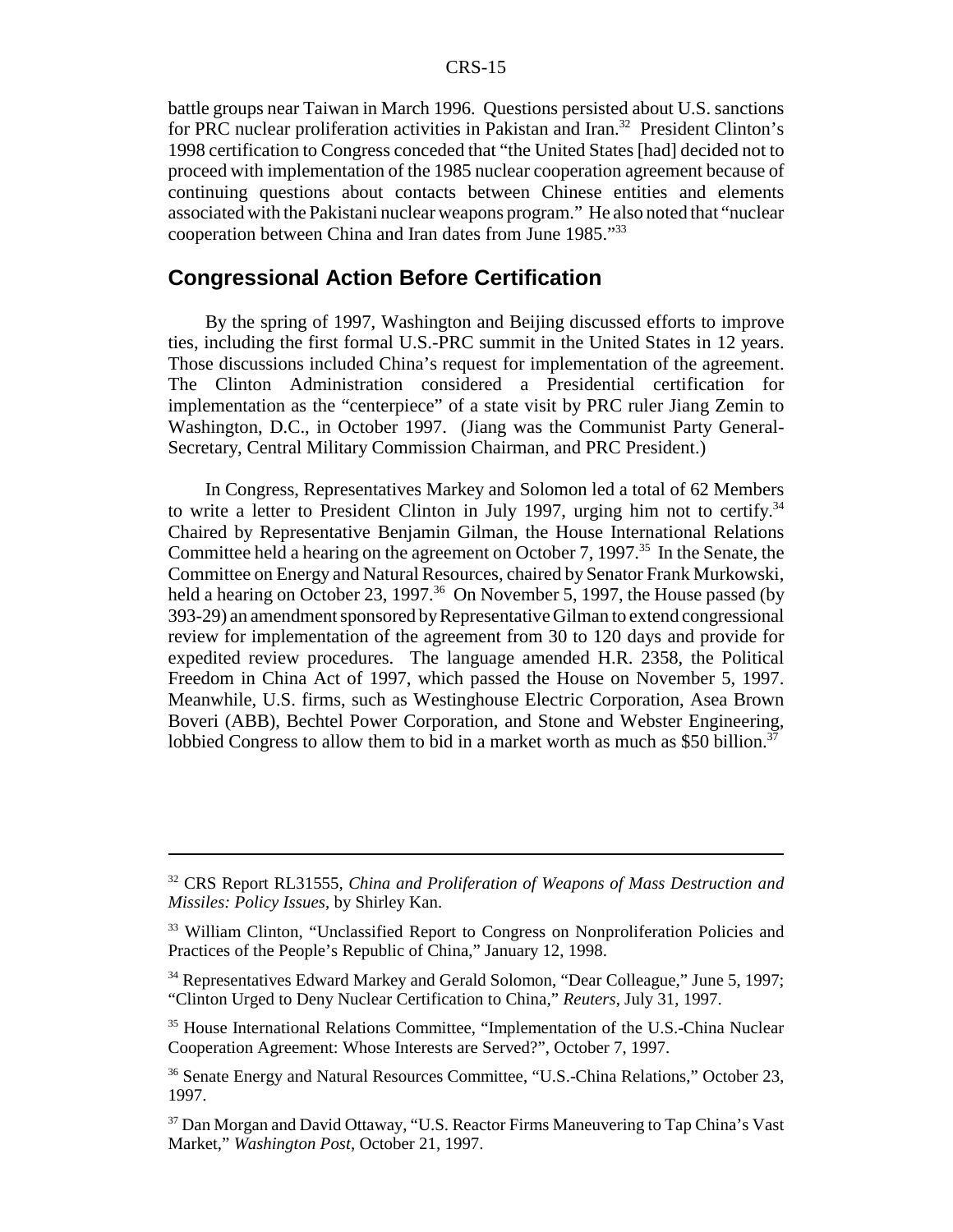battle groups near Taiwan in March 1996. Questions persisted about U.S. sanctions for PRC nuclear proliferation activities in Pakistan and Iran.<sup>32</sup> President Clinton's 1998 certification to Congress conceded that "the United States [had] decided not to proceed with implementation of the 1985 nuclear cooperation agreement because of continuing questions about contacts between Chinese entities and elements associated with the Pakistani nuclear weapons program." He also noted that "nuclear cooperation between China and Iran dates from June 1985."<sup>33</sup>

#### **Congressional Action Before Certification**

By the spring of 1997, Washington and Beijing discussed efforts to improve ties, including the first formal U.S.-PRC summit in the United States in 12 years. Those discussions included China's request for implementation of the agreement. The Clinton Administration considered a Presidential certification for implementation as the "centerpiece" of a state visit by PRC ruler Jiang Zemin to Washington, D.C., in October 1997. (Jiang was the Communist Party General-Secretary, Central Military Commission Chairman, and PRC President.)

In Congress, Representatives Markey and Solomon led a total of 62 Members to write a letter to President Clinton in July 1997, urging him not to certify.<sup>34</sup> Chaired by Representative Benjamin Gilman, the House International Relations Committee held a hearing on the agreement on October 7, 1997.<sup>35</sup> In the Senate, the Committee on Energy and Natural Resources, chaired by Senator Frank Murkowski, held a hearing on October 23, 1997.<sup>36</sup> On November 5, 1997, the House passed (by 393-29) an amendment sponsored by Representative Gilman to extend congressional review for implementation of the agreement from 30 to 120 days and provide for expedited review procedures. The language amended H.R. 2358, the Political Freedom in China Act of 1997, which passed the House on November 5, 1997. Meanwhile, U.S. firms, such as Westinghouse Electric Corporation, Asea Brown Boveri (ABB), Bechtel Power Corporation, and Stone and Webster Engineering, lobbied Congress to allow them to bid in a market worth as much as \$50 billion.<sup>37</sup>

<sup>32</sup> CRS Report RL31555, *China and Proliferation of Weapons of Mass Destruction and Missiles: Policy Issues*, by Shirley Kan.

<sup>&</sup>lt;sup>33</sup> William Clinton, "Unclassified Report to Congress on Nonproliferation Policies and Practices of the People's Republic of China," January 12, 1998.

<sup>&</sup>lt;sup>34</sup> Representatives Edward Markey and Gerald Solomon, "Dear Colleague," June 5, 1997; "Clinton Urged to Deny Nuclear Certification to China," *Reuters*, July 31, 1997.

<sup>&</sup>lt;sup>35</sup> House International Relations Committee, "Implementation of the U.S.-China Nuclear Cooperation Agreement: Whose Interests are Served?", October 7, 1997.

<sup>&</sup>lt;sup>36</sup> Senate Energy and Natural Resources Committee, "U.S.-China Relations," October 23, 1997.

<sup>&</sup>lt;sup>37</sup> Dan Morgan and David Ottaway, "U.S. Reactor Firms Maneuvering to Tap China's Vast Market," *Washington Post*, October 21, 1997.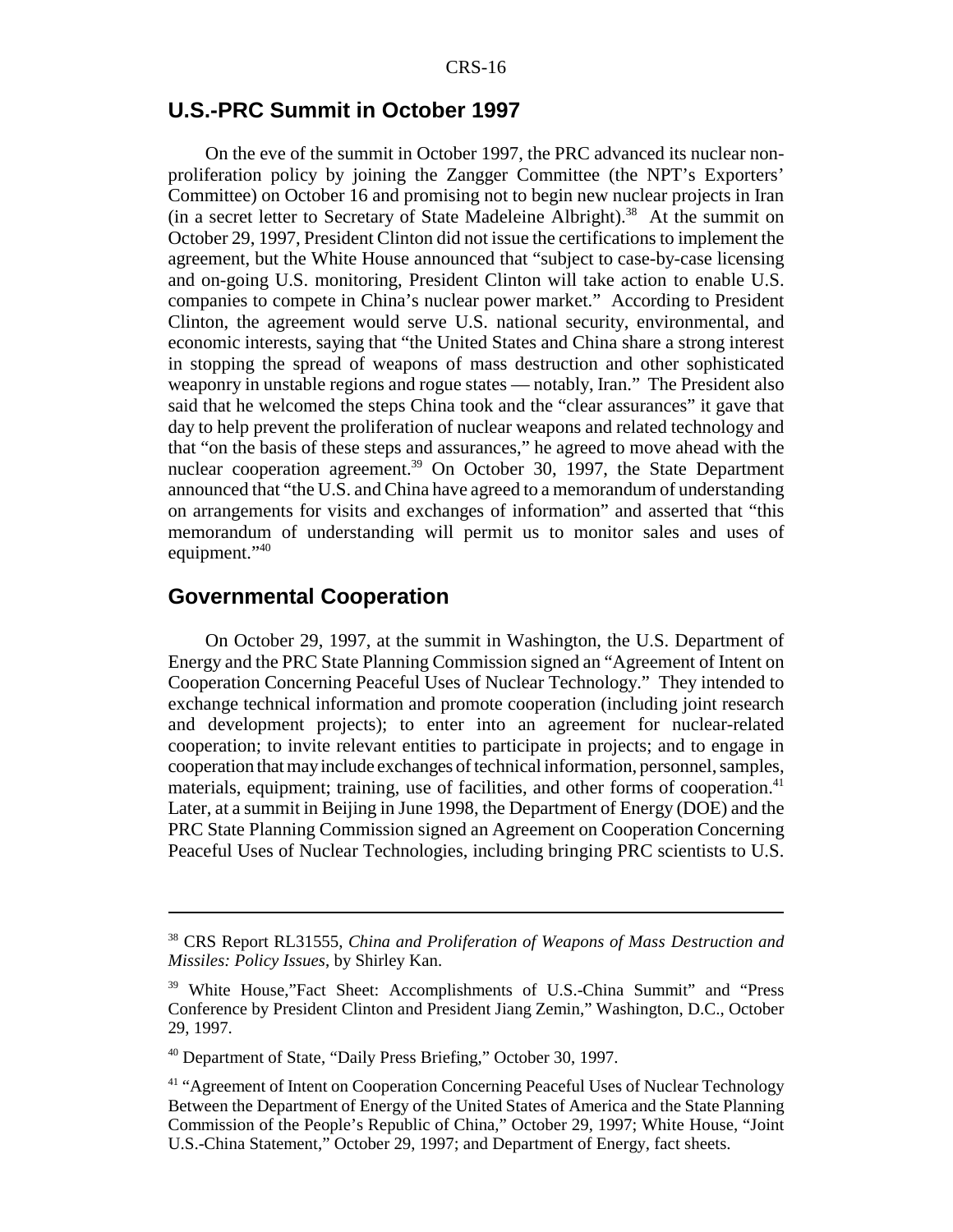#### **U.S.-PRC Summit in October 1997**

On the eve of the summit in October 1997, the PRC advanced its nuclear nonproliferation policy by joining the Zangger Committee (the NPT's Exporters' Committee) on October 16 and promising not to begin new nuclear projects in Iran (in a secret letter to Secretary of State Madeleine Albright).<sup>38</sup> At the summit on October 29, 1997, President Clinton did not issue the certifications to implement the agreement, but the White House announced that "subject to case-by-case licensing and on-going U.S. monitoring, President Clinton will take action to enable U.S. companies to compete in China's nuclear power market." According to President Clinton, the agreement would serve U.S. national security, environmental, and economic interests, saying that "the United States and China share a strong interest in stopping the spread of weapons of mass destruction and other sophisticated weaponry in unstable regions and rogue states — notably, Iran." The President also said that he welcomed the steps China took and the "clear assurances" it gave that day to help prevent the proliferation of nuclear weapons and related technology and that "on the basis of these steps and assurances," he agreed to move ahead with the nuclear cooperation agreement.<sup>39</sup> On October 30, 1997, the State Department announced that "the U.S. and China have agreed to a memorandum of understanding on arrangements for visits and exchanges of information" and asserted that "this memorandum of understanding will permit us to monitor sales and uses of equipment."<sup>40</sup>

#### **Governmental Cooperation**

On October 29, 1997, at the summit in Washington, the U.S. Department of Energy and the PRC State Planning Commission signed an "Agreement of Intent on Cooperation Concerning Peaceful Uses of Nuclear Technology." They intended to exchange technical information and promote cooperation (including joint research and development projects); to enter into an agreement for nuclear-related cooperation; to invite relevant entities to participate in projects; and to engage in cooperation that may include exchanges of technical information, personnel, samples, materials, equipment; training, use of facilities, and other forms of cooperation.<sup>41</sup> Later, at a summit in Beijing in June 1998, the Department of Energy (DOE) and the PRC State Planning Commission signed an Agreement on Cooperation Concerning Peaceful Uses of Nuclear Technologies, including bringing PRC scientists to U.S.

<sup>38</sup> CRS Report RL31555, *China and Proliferation of Weapons of Mass Destruction and Missiles: Policy Issues*, by Shirley Kan.

<sup>39</sup> White House,"Fact Sheet: Accomplishments of U.S.-China Summit" and "Press Conference by President Clinton and President Jiang Zemin," Washington, D.C., October 29, 1997.

<sup>40</sup> Department of State, "Daily Press Briefing," October 30, 1997.

<sup>&</sup>lt;sup>41</sup> "Agreement of Intent on Cooperation Concerning Peaceful Uses of Nuclear Technology Between the Department of Energy of the United States of America and the State Planning Commission of the People's Republic of China," October 29, 1997; White House, "Joint U.S.-China Statement," October 29, 1997; and Department of Energy, fact sheets.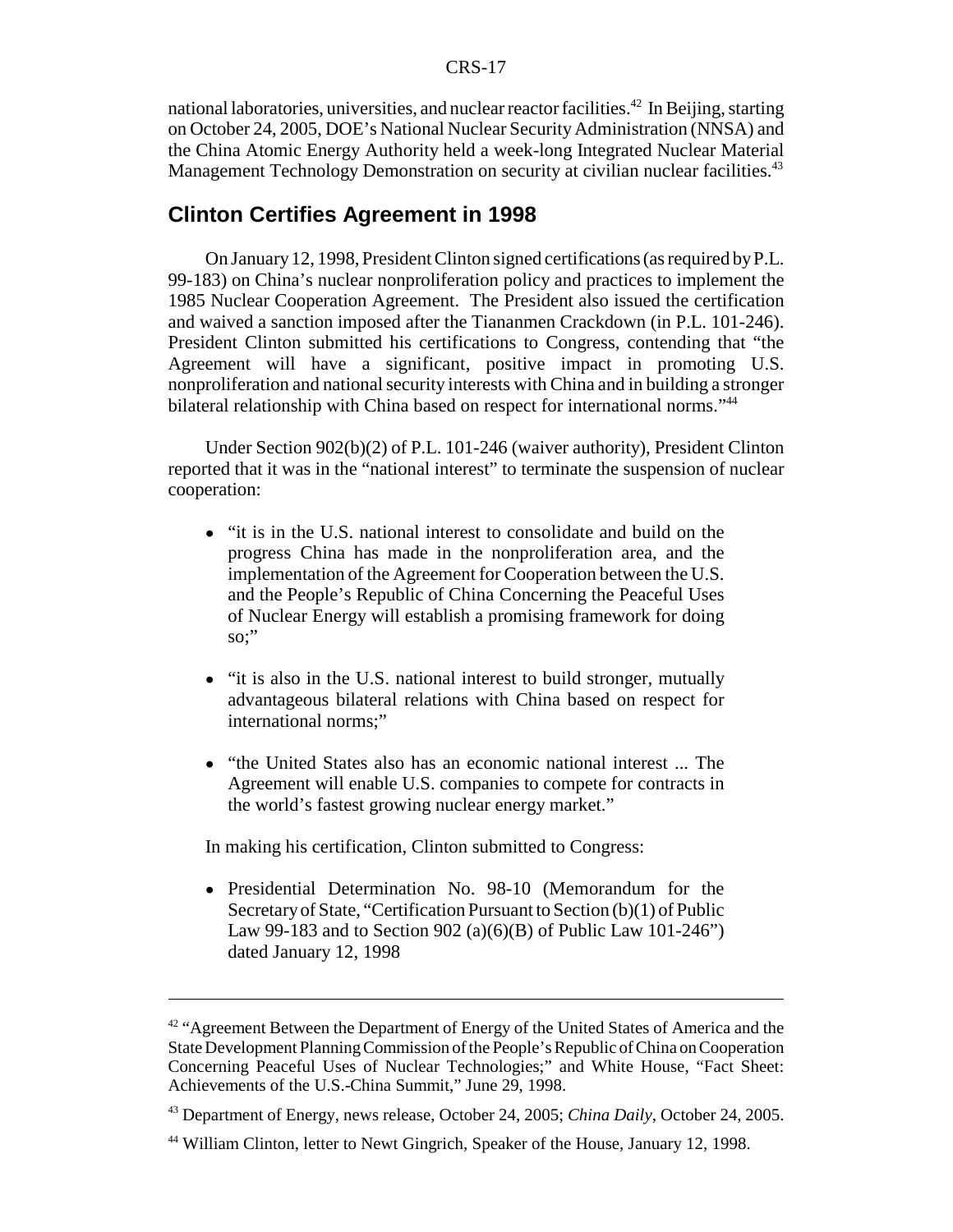#### CRS-17

national laboratories, universities, and nuclear reactor facilities.<sup>42</sup> In Beijing, starting on October 24, 2005, DOE's National Nuclear Security Administration (NNSA) and the China Atomic Energy Authority held a week-long Integrated Nuclear Material Management Technology Demonstration on security at civilian nuclear facilities.<sup>43</sup>

#### **Clinton Certifies Agreement in 1998**

On January 12, 1998, President Clinton signed certifications (as required by P.L. 99-183) on China's nuclear nonproliferation policy and practices to implement the 1985 Nuclear Cooperation Agreement. The President also issued the certification and waived a sanction imposed after the Tiananmen Crackdown (in P.L. 101-246). President Clinton submitted his certifications to Congress, contending that "the Agreement will have a significant, positive impact in promoting U.S. nonproliferation and national security interests with China and in building a stronger bilateral relationship with China based on respect for international norms."44

Under Section 902(b)(2) of P.L. 101-246 (waiver authority), President Clinton reported that it was in the "national interest" to terminate the suspension of nuclear cooperation:

- "it is in the U.S. national interest to consolidate and build on the progress China has made in the nonproliferation area, and the implementation of the Agreement for Cooperation between the U.S. and the People's Republic of China Concerning the Peaceful Uses of Nuclear Energy will establish a promising framework for doing so:"
- "it is also in the U.S. national interest to build stronger, mutually advantageous bilateral relations with China based on respect for international norms;"
- "the United States also has an economic national interest ... The Agreement will enable U.S. companies to compete for contracts in the world's fastest growing nuclear energy market."

In making his certification, Clinton submitted to Congress:

! Presidential Determination No. 98-10 (Memorandum for the Secretary of State, "Certification Pursuant to Section (b)(1) of Public Law 99-183 and to Section 902 (a)(6)(B) of Public Law 101-246") dated January 12, 1998

<sup>&</sup>lt;sup>42</sup> "Agreement Between the Department of Energy of the United States of America and the State Development Planning Commission of the People's Republic of China on Cooperation Concerning Peaceful Uses of Nuclear Technologies;" and White House, "Fact Sheet: Achievements of the U.S.-China Summit," June 29, 1998.

<sup>43</sup> Department of Energy, news release, October 24, 2005; *China Daily*, October 24, 2005.

<sup>44</sup> William Clinton, letter to Newt Gingrich, Speaker of the House, January 12, 1998.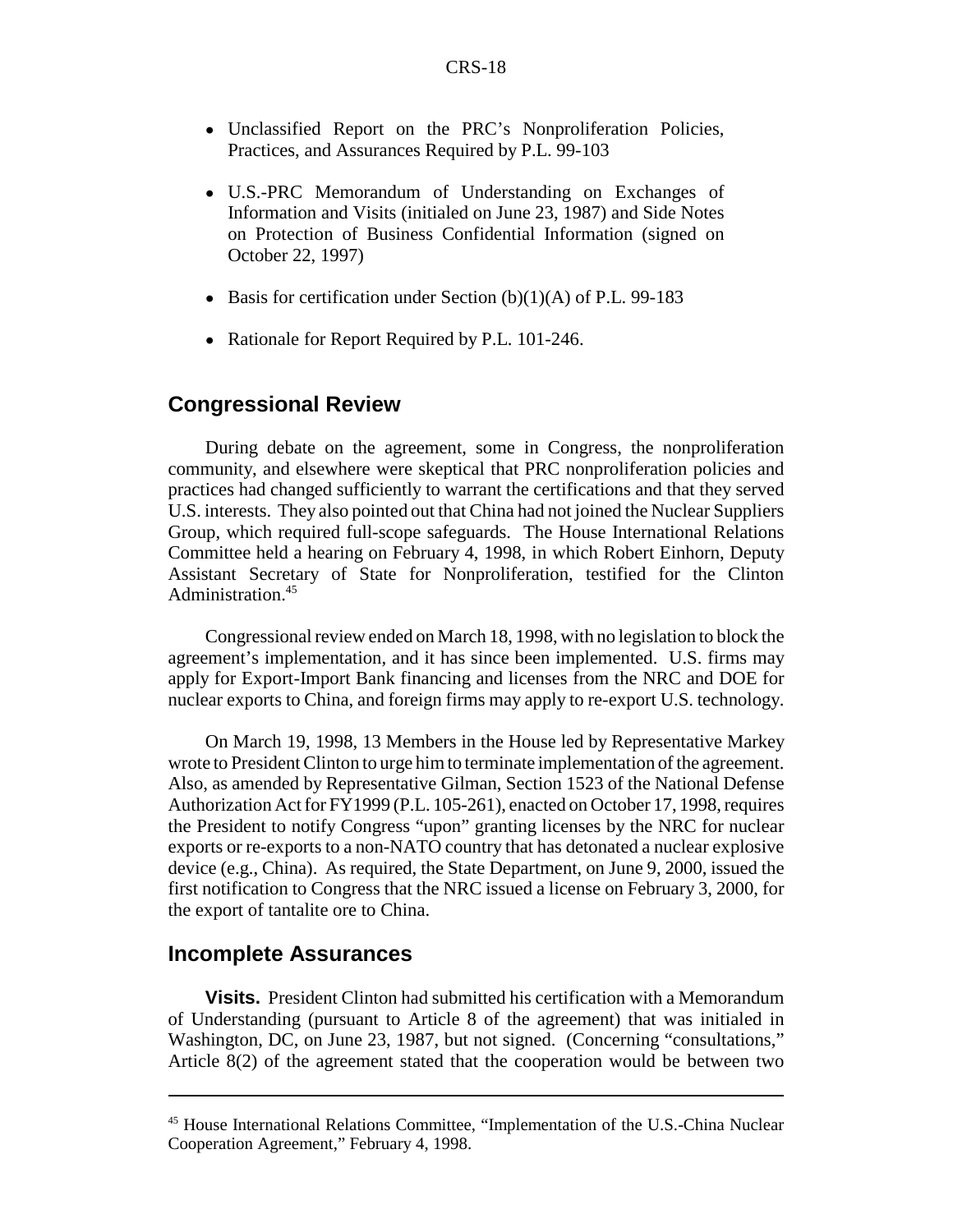- ! Unclassified Report on the PRC's Nonproliferation Policies, Practices, and Assurances Required by P.L. 99-103
- U.S.-PRC Memorandum of Understanding on Exchanges of Information and Visits (initialed on June 23, 1987) and Side Notes on Protection of Business Confidential Information (signed on October 22, 1997)
- $\bullet$  Basis for certification under Section (b)(1)(A) of P.L. 99-183
- Rationale for Report Required by P.L. 101-246.

#### **Congressional Review**

During debate on the agreement, some in Congress, the nonproliferation community, and elsewhere were skeptical that PRC nonproliferation policies and practices had changed sufficiently to warrant the certifications and that they served U.S. interests. They also pointed out that China had not joined the Nuclear Suppliers Group, which required full-scope safeguards. The House International Relations Committee held a hearing on February 4, 1998, in which Robert Einhorn, Deputy Assistant Secretary of State for Nonproliferation, testified for the Clinton Administration.<sup>45</sup>

Congressional review ended on March 18, 1998, with no legislation to block the agreement's implementation, and it has since been implemented. U.S. firms may apply for Export-Import Bank financing and licenses from the NRC and DOE for nuclear exports to China, and foreign firms may apply to re-export U.S. technology.

On March 19, 1998, 13 Members in the House led by Representative Markey wrote to President Clinton to urge him to terminate implementation of the agreement. Also, as amended by Representative Gilman, Section 1523 of the National Defense Authorization Act for FY1999 (P.L. 105-261), enacted on October 17, 1998, requires the President to notify Congress "upon" granting licenses by the NRC for nuclear exports or re-exports to a non-NATO country that has detonated a nuclear explosive device (e.g., China). As required, the State Department, on June 9, 2000, issued the first notification to Congress that the NRC issued a license on February 3, 2000, for the export of tantalite ore to China.

#### **Incomplete Assurances**

**Visits.** President Clinton had submitted his certification with a Memorandum of Understanding (pursuant to Article 8 of the agreement) that was initialed in Washington, DC, on June 23, 1987, but not signed. (Concerning "consultations," Article 8(2) of the agreement stated that the cooperation would be between two

<sup>45</sup> House International Relations Committee, "Implementation of the U.S.-China Nuclear Cooperation Agreement," February 4, 1998.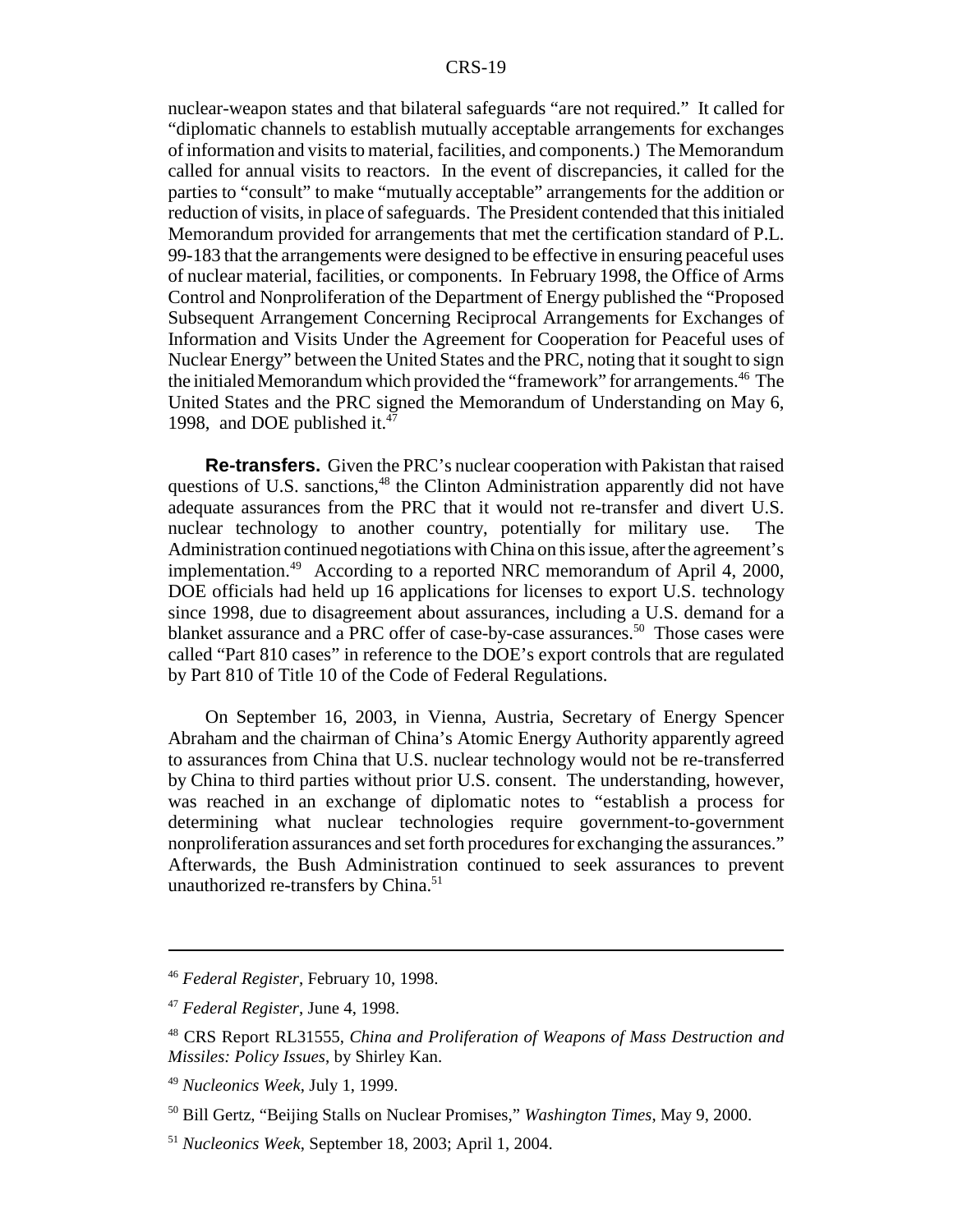nuclear-weapon states and that bilateral safeguards "are not required." It called for "diplomatic channels to establish mutually acceptable arrangements for exchanges of information and visits to material, facilities, and components.) The Memorandum called for annual visits to reactors. In the event of discrepancies, it called for the parties to "consult" to make "mutually acceptable" arrangements for the addition or reduction of visits, in place of safeguards. The President contended that this initialed Memorandum provided for arrangements that met the certification standard of P.L. 99-183 that the arrangements were designed to be effective in ensuring peaceful uses of nuclear material, facilities, or components. In February 1998, the Office of Arms Control and Nonproliferation of the Department of Energy published the "Proposed Subsequent Arrangement Concerning Reciprocal Arrangements for Exchanges of Information and Visits Under the Agreement for Cooperation for Peaceful uses of Nuclear Energy" between the United States and the PRC, noting that it sought to sign the initialed Memorandum which provided the "framework" for arrangements.<sup>46</sup> The United States and the PRC signed the Memorandum of Understanding on May 6, 1998, and DOE published it.<sup>47</sup>

**Re-transfers.** Given the PRC's nuclear cooperation with Pakistan that raised questions of U.S. sanctions,<sup>48</sup> the Clinton Administration apparently did not have adequate assurances from the PRC that it would not re-transfer and divert U.S. nuclear technology to another country, potentially for military use. The Administration continued negotiations with China on this issue, after the agreement's implementation.<sup>49</sup> According to a reported NRC memorandum of April 4, 2000, DOE officials had held up 16 applications for licenses to export U.S. technology since 1998, due to disagreement about assurances, including a U.S. demand for a blanket assurance and a PRC offer of case-by-case assurances.<sup>50</sup> Those cases were called "Part 810 cases" in reference to the DOE's export controls that are regulated by Part 810 of Title 10 of the Code of Federal Regulations.

On September 16, 2003, in Vienna, Austria, Secretary of Energy Spencer Abraham and the chairman of China's Atomic Energy Authority apparently agreed to assurances from China that U.S. nuclear technology would not be re-transferred by China to third parties without prior U.S. consent. The understanding, however, was reached in an exchange of diplomatic notes to "establish a process for determining what nuclear technologies require government-to-government nonproliferation assurances and set forth procedures for exchanging the assurances." Afterwards, the Bush Administration continued to seek assurances to prevent unauthorized re-transfers by China.<sup>51</sup>

<sup>46</sup> *Federal Register*, February 10, 1998.

<sup>47</sup> *Federal Register*, June 4, 1998.

<sup>48</sup> CRS Report RL31555, *China and Proliferation of Weapons of Mass Destruction and Missiles: Policy Issues*, by Shirley Kan.

<sup>49</sup> *Nucleonics Week*, July 1, 1999.

<sup>50</sup> Bill Gertz, "Beijing Stalls on Nuclear Promises," *Washington Times*, May 9, 2000.

<sup>51</sup> *Nucleonics Week*, September 18, 2003; April 1, 2004.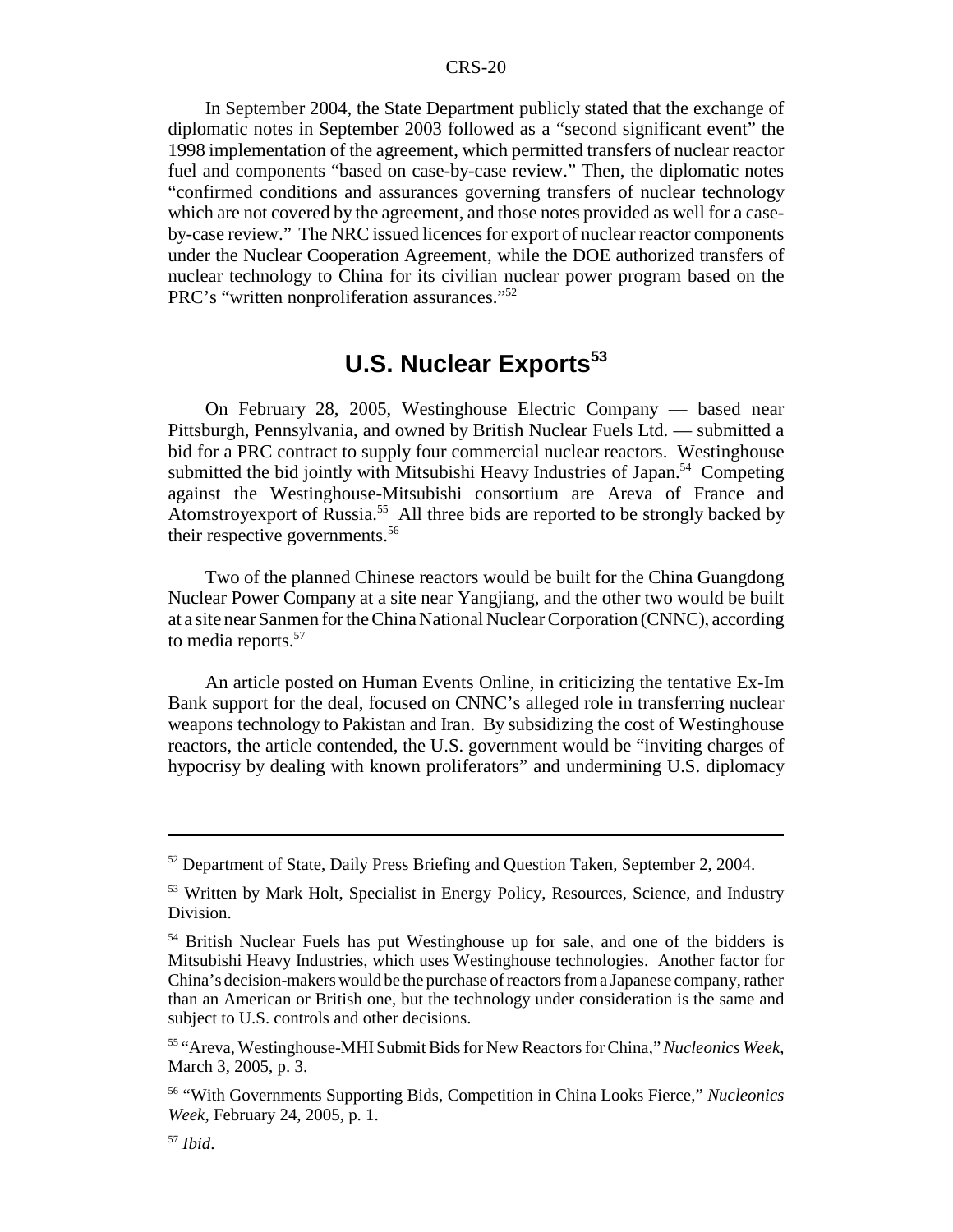In September 2004, the State Department publicly stated that the exchange of diplomatic notes in September 2003 followed as a "second significant event" the 1998 implementation of the agreement, which permitted transfers of nuclear reactor fuel and components "based on case-by-case review." Then, the diplomatic notes "confirmed conditions and assurances governing transfers of nuclear technology which are not covered by the agreement, and those notes provided as well for a caseby-case review." The NRC issued licences for export of nuclear reactor components under the Nuclear Cooperation Agreement, while the DOE authorized transfers of nuclear technology to China for its civilian nuclear power program based on the PRC's "written nonproliferation assurances."52

# **U.S. Nuclear Exports<sup>53</sup>**

On February 28, 2005, Westinghouse Electric Company — based near Pittsburgh, Pennsylvania, and owned by British Nuclear Fuels Ltd. — submitted a bid for a PRC contract to supply four commercial nuclear reactors. Westinghouse submitted the bid jointly with Mitsubishi Heavy Industries of Japan.<sup>54</sup> Competing against the Westinghouse-Mitsubishi consortium are Areva of France and Atomstroyexport of Russia.<sup>55</sup> All three bids are reported to be strongly backed by their respective governments.<sup>56</sup>

Two of the planned Chinese reactors would be built for the China Guangdong Nuclear Power Company at a site near Yangjiang, and the other two would be built at a site near Sanmen for the China National Nuclear Corporation (CNNC), according to media reports.<sup>57</sup>

An article posted on Human Events Online, in criticizing the tentative Ex-Im Bank support for the deal, focused on CNNC's alleged role in transferring nuclear weapons technology to Pakistan and Iran. By subsidizing the cost of Westinghouse reactors, the article contended, the U.S. government would be "inviting charges of hypocrisy by dealing with known proliferators" and undermining U.S. diplomacy

<sup>&</sup>lt;sup>52</sup> Department of State, Daily Press Briefing and Question Taken, September 2, 2004.

<sup>&</sup>lt;sup>53</sup> Written by Mark Holt, Specialist in Energy Policy, Resources, Science, and Industry Division.

<sup>&</sup>lt;sup>54</sup> British Nuclear Fuels has put Westinghouse up for sale, and one of the bidders is Mitsubishi Heavy Industries, which uses Westinghouse technologies. Another factor for China's decision-makers would be the purchase of reactors from a Japanese company, rather than an American or British one, but the technology under consideration is the same and subject to U.S. controls and other decisions.

<sup>55 &</sup>quot;Areva, Westinghouse-MHI Submit Bids for New Reactors for China," *Nucleonics Week*, March 3, 2005, p. 3.

<sup>56 &</sup>quot;With Governments Supporting Bids, Competition in China Looks Fierce," *Nucleonics Week*, February 24, 2005, p. 1.

<sup>57</sup> *Ibid*.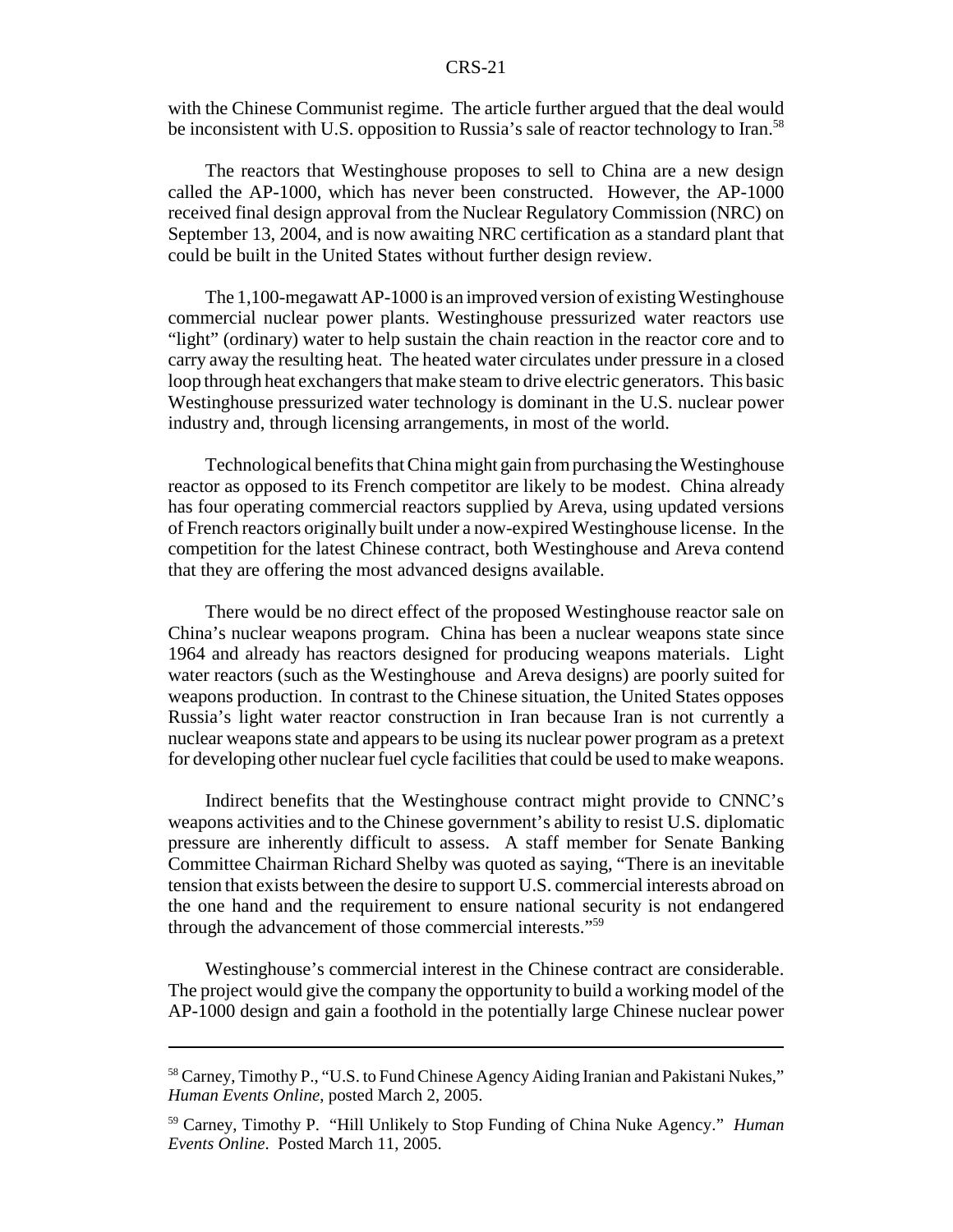#### CRS-21

with the Chinese Communist regime. The article further argued that the deal would be inconsistent with U.S. opposition to Russia's sale of reactor technology to Iran.<sup>58</sup>

The reactors that Westinghouse proposes to sell to China are a new design called the AP-1000, which has never been constructed. However, the AP-1000 received final design approval from the Nuclear Regulatory Commission (NRC) on September 13, 2004, and is now awaiting NRC certification as a standard plant that could be built in the United States without further design review.

The 1,100-megawatt AP-1000 is an improved version of existing Westinghouse commercial nuclear power plants. Westinghouse pressurized water reactors use "light" (ordinary) water to help sustain the chain reaction in the reactor core and to carry away the resulting heat. The heated water circulates under pressure in a closed loop through heat exchangers that make steam to drive electric generators. This basic Westinghouse pressurized water technology is dominant in the U.S. nuclear power industry and, through licensing arrangements, in most of the world.

Technological benefits that China might gain from purchasing the Westinghouse reactor as opposed to its French competitor are likely to be modest. China already has four operating commercial reactors supplied by Areva, using updated versions of French reactors originally built under a now-expired Westinghouse license. In the competition for the latest Chinese contract, both Westinghouse and Areva contend that they are offering the most advanced designs available.

There would be no direct effect of the proposed Westinghouse reactor sale on China's nuclear weapons program. China has been a nuclear weapons state since 1964 and already has reactors designed for producing weapons materials. Light water reactors (such as the Westinghouse and Areva designs) are poorly suited for weapons production. In contrast to the Chinese situation, the United States opposes Russia's light water reactor construction in Iran because Iran is not currently a nuclear weapons state and appears to be using its nuclear power program as a pretext for developing other nuclear fuel cycle facilities that could be used to make weapons.

Indirect benefits that the Westinghouse contract might provide to CNNC's weapons activities and to the Chinese government's ability to resist U.S. diplomatic pressure are inherently difficult to assess. A staff member for Senate Banking Committee Chairman Richard Shelby was quoted as saying, "There is an inevitable tension that exists between the desire to support U.S. commercial interests abroad on the one hand and the requirement to ensure national security is not endangered through the advancement of those commercial interests."59

Westinghouse's commercial interest in the Chinese contract are considerable. The project would give the company the opportunity to build a working model of the AP-1000 design and gain a foothold in the potentially large Chinese nuclear power

<sup>&</sup>lt;sup>58</sup> Carney, Timothy P., "U.S. to Fund Chinese Agency Aiding Iranian and Pakistani Nukes," *Human Events Online*, posted March 2, 2005.

<sup>59</sup> Carney, Timothy P. "Hill Unlikely to Stop Funding of China Nuke Agency." *Human Events Online*. Posted March 11, 2005.